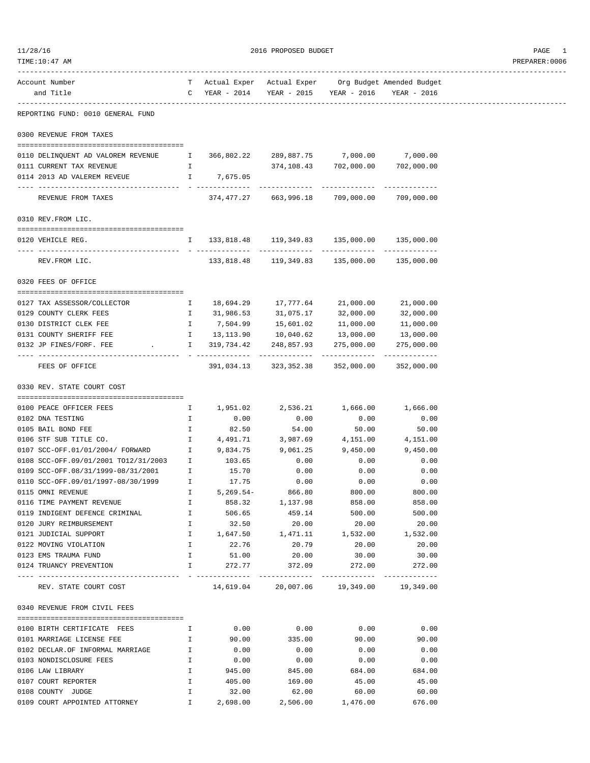| Account Number<br>and Title                                                    |              | T Actual Exper Actual Exper Org Budget Amended Budget<br>C YEAR - 2014 YEAR - 2015 YEAR - 2016 YEAR - 2016 |                                                   |                                                    |            |  |
|--------------------------------------------------------------------------------|--------------|------------------------------------------------------------------------------------------------------------|---------------------------------------------------|----------------------------------------------------|------------|--|
| REPORTING FUND: 0010 GENERAL FUND                                              |              |                                                                                                            |                                                   |                                                    |            |  |
|                                                                                |              |                                                                                                            |                                                   |                                                    |            |  |
| 0300 REVENUE FROM TAXES                                                        |              |                                                                                                            |                                                   |                                                    |            |  |
| 0110 DELINQUENT AD VALOREM REVENUE $1$ 366,802.22 289,887.75 7,000.00 7,000.00 |              |                                                                                                            |                                                   |                                                    |            |  |
| 0111 CURRENT TAX REVENUE                                                       | $\mathbb{I}$ |                                                                                                            |                                                   | 374,108.43 702,000.00 702,000.00                   |            |  |
| 0114 2013 AD VALEREM REVEUE T 7,675.05                                         |              |                                                                                                            |                                                   |                                                    |            |  |
| REVENUE FROM TAXES                                                             |              |                                                                                                            | 374,477.27 663,996.18 709,000.00 709,000.00       |                                                    |            |  |
| 0310 REV. FROM LIC.                                                            |              |                                                                                                            |                                                   |                                                    |            |  |
|                                                                                |              |                                                                                                            |                                                   |                                                    |            |  |
| 0120 VEHICLE REG.                                                              |              | $1 \qquad 133,818.48 \qquad 119,349.83 \qquad 135,000.00 \qquad 135,000.00$                                |                                                   |                                                    |            |  |
| REV.FROM LIC.                                                                  |              |                                                                                                            | 133,818.48   119,349.83   135,000.00   135,000.00 |                                                    |            |  |
| 0320 FEES OF OFFICE                                                            |              |                                                                                                            |                                                   |                                                    |            |  |
| 0127 TAX ASSESSOR/COLLECTOR                                                    |              | 1 18,694.29 17,777.64 21,000.00                                                                            |                                                   |                                                    | 21,000.00  |  |
| 0129 COUNTY CLERK FEES                                                         |              | 1 31,986.53 31,075.17 32,000.00                                                                            |                                                   |                                                    | 32,000.00  |  |
| 0130 DISTRICT CLEK FEE                                                         |              | I 7,504.99                                                                                                 |                                                   |                                                    | 11,000.00  |  |
| 0131 COUNTY SHERIFF FEE                                                        |              | 1 13,113.90                                                                                                |                                                   | $15,601.02$ $11,000.00$<br>$10,040.62$ $13,000.00$ | 13,000.00  |  |
| 0132 JP FINES/FORF. FEE                                                        |              | $\qquad \qquad \text{I} \qquad \qquad 319,734.42 \qquad \qquad 248,857.93 \qquad \qquad 275,000.001$       |                                                   |                                                    | 275,000.00 |  |
| FEES OF OFFICE                                                                 |              |                                                                                                            | 391,034.13 323,352.38 352,000.00 352,000.00       |                                                    |            |  |
| 0330 REV. STATE COURT COST                                                     |              |                                                                                                            |                                                   |                                                    |            |  |
| 0100 PEACE OFFICER FEES                                                        |              | $1,951.02$ $2,536.21$ $1,666.00$ $1,666.00$                                                                |                                                   |                                                    |            |  |
| 0102 DNA TESTING                                                               | $\mathbb{I}$ | 0.00                                                                                                       | 0.00                                              | 0.00                                               | 0.00       |  |
| 0105 BAIL BOND FEE                                                             | $\mathbb{I}$ | 82.50                                                                                                      | 54.00                                             | 50.00                                              | 50.00      |  |
| 0106 STF SUB TITLE CO.                                                         |              | 1 4,491.71                                                                                                 | 3,987.69                                          | 4,151.00                                           | 4,151.00   |  |
| 0107 SCC-OFF.01/01/2004/ FORWARD                                               | $\mathbb{I}$ | 9,834.75                                                                                                   | 9,061.25                                          | 9,450.00                                           | 9,450.00   |  |
| 0108 SCC-OFF.09/01/2001 TO12/31/2003 I                                         |              | 103.65                                                                                                     | 0.00                                              | 0.00                                               | 0.00       |  |
| 0109 SCC-OFF.08/31/1999-08/31/2001 I                                           |              | 15.70                                                                                                      | 0.00                                              | 0.00                                               | 0.00       |  |
| 0110 SCC-OFF.09/01/1997-08/30/1999 I 17.75                                     |              |                                                                                                            | 0.00                                              | 0.00                                               | 0.00       |  |
| 0115 OMNI REVENUE                                                              |              | $I = 5,269.54-$                                                                                            | 866.80                                            | 800.00                                             | 800.00     |  |
| 0116 TIME PAYMENT REVENUE                                                      | $\mathbb{I}$ |                                                                                                            | 858.32 1,137.98                                   | 858.00                                             | 858.00     |  |
| 0119 INDIGENT DEFENCE CRIMINAL                                                 | Ι.           | 506.65                                                                                                     | 459.14                                            | 500.00                                             | 500.00     |  |
| 0120 JURY REIMBURSEMENT                                                        | Ι.           | 32.50                                                                                                      | 20.00                                             | 20.00                                              | 20.00      |  |
| 0121 JUDICIAL SUPPORT                                                          | Ι.           | 1,647.50                                                                                                   | 1,471.11                                          | 1,532.00                                           | 1,532.00   |  |
| 0122 MOVING VIOLATION                                                          | Ι.           | 22.76                                                                                                      | 20.79                                             | 20.00                                              | 20.00      |  |
| 0123 EMS TRAUMA FUND                                                           | $\mathbf{I}$ | 51.00                                                                                                      | 20.00                                             | 30.00                                              | 30.00      |  |
| 0124 TRUANCY PREVENTION                                                        | $\mathbb{I}$ | 272.77                                                                                                     | 372.09                                            | 272.00                                             | 272.00     |  |
| REV. STATE COURT COST                                                          |              |                                                                                                            | 14,619.04  20,007.06  19,349.00  19,349.00        |                                                    |            |  |
| 0340 REVENUE FROM CIVIL FEES                                                   |              |                                                                                                            |                                                   |                                                    |            |  |
| 0100 BIRTH CERTIFICATE FEES                                                    | $\mathbb{I}$ | 0.00                                                                                                       | 0.00                                              | 0.00                                               | 0.00       |  |
| 0101 MARRIAGE LICENSE FEE                                                      | Ι.           | 90.00                                                                                                      | 335.00                                            | 90.00                                              | 90.00      |  |
| 0102 DECLAR.OF INFORMAL MARRIAGE                                               | Ι.           | 0.00                                                                                                       | 0.00                                              | 0.00                                               | 0.00       |  |
| 0103 NONDISCLOSURE FEES                                                        | Ι.           | 0.00                                                                                                       | 0.00                                              | 0.00                                               | 0.00       |  |
| 0106 LAW LIBRARY                                                               | Ι.           | 945.00                                                                                                     | 845.00                                            | 684.00                                             | 684.00     |  |
| 0107 COURT REPORTER                                                            | I.           | 405.00                                                                                                     | 169.00                                            | 45.00                                              | 45.00      |  |
| 0108 COUNTY JUDGE                                                              | Ι.           | 32.00                                                                                                      | 62.00                                             | 60.00                                              | 60.00      |  |
| 0109 COURT APPOINTED ATTORNEY                                                  | $\mathbf{I}$ | 2,698.00                                                                                                   | 2,506.00                                          | 1,476.00                                           | 676.00     |  |

 $11/28/16$  PAGE 1

------------------------------------------------------------------------------------------------------------------------------------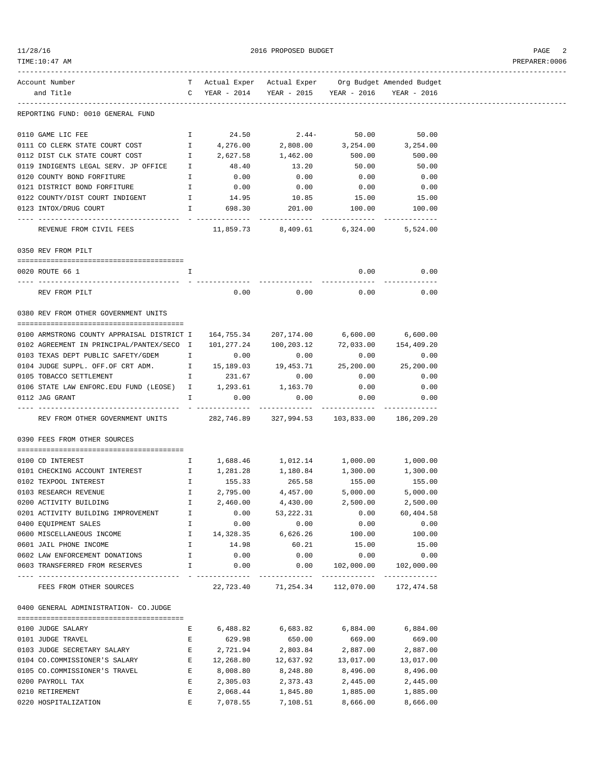| $^{\circ}$<br>28. |  |
|-------------------|--|
|-------------------|--|

 $2016 \text{ PROPOSED BUDGET} \label{eq:1016}$ 

## TIME:10:47 AM PREPARER:0006

| Account Number                                                                         |               |                                           | T Actual Exper Actual Exper Org Budget Amended Budget |                                                          |               |
|----------------------------------------------------------------------------------------|---------------|-------------------------------------------|-------------------------------------------------------|----------------------------------------------------------|---------------|
| and Title                                                                              |               |                                           | C YEAR - 2014 YEAR - 2015 YEAR - 2016 YEAR - 2016     |                                                          |               |
|                                                                                        |               |                                           |                                                       |                                                          |               |
| REPORTING FUND: 0010 GENERAL FUND                                                      |               |                                           |                                                       |                                                          |               |
|                                                                                        |               |                                           |                                                       |                                                          |               |
|                                                                                        |               | 24.50                                     |                                                       |                                                          |               |
| 0110 GAME LIC FEE                                                                      | I.            |                                           |                                                       | $2.44 50.00$ $50.00$<br>$2,808.00$ $3,254.00$ $3,254.00$ |               |
| 0111 CO CLERK STATE COURT COST                                                         |               | $\mathbf{I}$ and $\mathbf{I}$<br>4,276.00 |                                                       |                                                          |               |
| 0112 DIST CLK STATE COURT COST                                                         | $\mathbb{I}$  | 2,627.58                                  | 1,462.00                                              | 500.00                                                   | 500.00        |
| 0119 INDIGENTS LEGAL SERV. JP OFFICE 1 48.40                                           |               |                                           | 13.20                                                 | 50.00                                                    | 50.00         |
| 0120 COUNTY BOND FORFITURE                                                             |               | I 0.00                                    | 0.00                                                  | 0.00                                                     | 0.00          |
| 0121 DISTRICT BOND FORFITURE                                                           |               | I 0.00                                    | 0.00                                                  | 0.00                                                     | 0.00          |
| 0122 COUNTY/DIST COURT INDIGENT                                                        | $\mathbb{I}$  | 14.95                                     | 10.85                                                 | $15.00$<br>$100.00$                                      | 15.00         |
| 0123 INTOX/DRUG COURT                                                                  | $\mathbb{I}$  | 698.30                                    | 201.00                                                |                                                          | 100.00        |
| . <u>.</u>                                                                             |               | ----------                                | -------------                                         | --------------                                           |               |
| REVENUE FROM CIVIL FEES 11,859.73 8,409.61 6,324.00 5,524.00                           |               |                                           |                                                       |                                                          |               |
|                                                                                        |               |                                           |                                                       |                                                          |               |
| 0350 REV FROM PILT                                                                     |               |                                           |                                                       |                                                          |               |
|                                                                                        |               |                                           |                                                       |                                                          |               |
| 0020 ROUTE 66 1                                                                        |               |                                           |                                                       | 0.00                                                     | 0.00          |
|                                                                                        |               |                                           |                                                       | -------------                                            | ------------  |
| REV FROM PILT                                                                          |               | 0.00                                      | 0.00                                                  | 0.00                                                     | 0.00          |
|                                                                                        |               |                                           |                                                       |                                                          |               |
| 0380 REV FROM OTHER GOVERNMENT UNITS                                                   |               |                                           |                                                       |                                                          |               |
|                                                                                        |               |                                           |                                                       |                                                          |               |
|                                                                                        |               |                                           |                                                       |                                                          |               |
| 0100 ARMSTRONG COUNTY APPRAISAL DISTRICT I  164,755.34  207,174.00  6,600.00  6,600.00 |               |                                           |                                                       |                                                          |               |
| 0102 AGREEMENT IN PRINCIPAL/PANTEX/SECO I                                              |               |                                           | 101,277.24 100,203.12 72,033.00 154,409.20            |                                                          |               |
| 0103 TEXAS DEPT PUBLIC SAFETY/GDEM I                                                   |               | 0.00                                      | 0.00                                                  | 0.00                                                     | 0.00          |
| 0104 JUDGE SUPPL. OFF.OF CRT ADM.                                                      |               |                                           | $15,189.03$ $19,453.71$ $25,200.00$ $25,200.00$       |                                                          |               |
| 0105 TOBACCO SETTLEMENT                                                                |               | I 231.67                                  | 0.00                                                  | 0.00                                                     | 0.00          |
| 0106 STATE LAW ENFORC. EDU FUND (LEOSE) $I$ 1, 293.61 1, 163.70                        |               |                                           |                                                       | 0.00                                                     | 0.00          |
| 0112 JAG GRANT                                                                         | $\mathbb{I}$  | 0.00                                      | 0.00                                                  | 0.00                                                     | 0.00          |
|                                                                                        |               |                                           |                                                       |                                                          |               |
| REV FROM OTHER GOVERNMENT UNITS 282,746.89 327,994.53 103,833.00 186,209.20            |               |                                           |                                                       |                                                          |               |
|                                                                                        |               |                                           |                                                       |                                                          |               |
| 0390 FEES FROM OTHER SOURCES                                                           |               |                                           |                                                       |                                                          |               |
|                                                                                        |               |                                           |                                                       |                                                          |               |
| 0100 CD INTEREST                                                                       |               |                                           | $I = 1,688.46$ $1,012.14$ $1,000.00$ $1,000.00$       |                                                          |               |
| 0101 CHECKING ACCOUNT INTEREST T 1,281.28 1,180.84 1,300.00 1,300.00                   |               |                                           |                                                       |                                                          |               |
| 0102 TEXPOOL INTEREST                                                                  | $\mathbb T$   | 155.33                                    | 265.58                                                | 155.00                                                   | 155.00        |
| 0103 RESEARCH REVENUE                                                                  | $\mathbb{I}$  | 2,795.00                                  | 4,457.00                                              | 5,000.00                                                 | 5,000.00      |
|                                                                                        |               |                                           |                                                       |                                                          |               |
| 0200 ACTIVITY BUILDING                                                                 | I.            | 2,460.00                                  | 4,430.00                                              | 2,500.00                                                 | 2,500.00      |
| 0201 ACTIVITY BUILDING IMPROVEMENT                                                     | Ι.            | 0.00                                      | 53,222.31                                             | 0.00                                                     | 60,404.58     |
| 0400 EQUIPMENT SALES                                                                   | I.            | 0.00                                      | 0.00                                                  | 0.00                                                     | 0.00          |
| 0600 MISCELLANEOUS INCOME                                                              | I.            | 14,328.35                                 | 6,626.26                                              | 100.00                                                   | 100.00        |
| 0601 JAIL PHONE INCOME                                                                 | $\mathbbm{I}$ | 14.98                                     | 60.21                                                 | 15.00                                                    | 15.00         |
| 0602 LAW ENFORCEMENT DONATIONS                                                         | $\mathbf{I}$  | 0.00                                      | 0.00                                                  | 0.00                                                     | 0.00          |
| 0603 TRANSFERRED FROM RESERVES                                                         | I.            | 0.00                                      | 0.00                                                  | 102,000.00                                               | 102,000.00    |
|                                                                                        |               | -------------                             | . <u>.</u>                                            | -------------                                            | ------------- |
| FEES FROM OTHER SOURCES                                                                |               | 22,723.40                                 | 71,254.34                                             | 112,070.00                                               | 172,474.58    |
|                                                                                        |               |                                           |                                                       |                                                          |               |
| 0400 GENERAL ADMINISTRATION- CO.JUDGE                                                  |               |                                           |                                                       |                                                          |               |
|                                                                                        |               |                                           |                                                       |                                                          |               |
| 0100 JUDGE SALARY                                                                      | Е             | 6,488.82                                  | 6,683.82                                              | 6,884.00                                                 | 6,884.00      |
|                                                                                        |               |                                           |                                                       |                                                          |               |
| 0101 JUDGE TRAVEL                                                                      | Е             | 629.98                                    | 650.00                                                | 669.00                                                   | 669.00        |
| 0103 JUDGE SECRETARY SALARY                                                            | Е             | 2,721.94                                  | 2,803.84                                              | 2,887.00                                                 | 2,887.00      |
| 0104 CO.COMMISSIONER'S SALARY                                                          | E             | 12,268.80                                 | 12,637.92                                             | 13,017.00                                                | 13,017.00     |
| 0105 CO.COMMISSIONER'S TRAVEL                                                          | Е             | 8,008.80                                  | 8,248.80                                              | 8,496.00                                                 | 8,496.00      |
| 0200 PAYROLL TAX                                                                       | Е             | 2,305.03                                  | 2,373.43                                              | 2,445.00                                                 | 2,445.00      |
| 0210 RETIREMENT                                                                        | Ε             | 2,068.44                                  | 1,845.80                                              | 1,885.00                                                 | 1,885.00      |

0220 HOSPITALIZATION E 7,078.55 7,108.51 8,666.00 8,666.00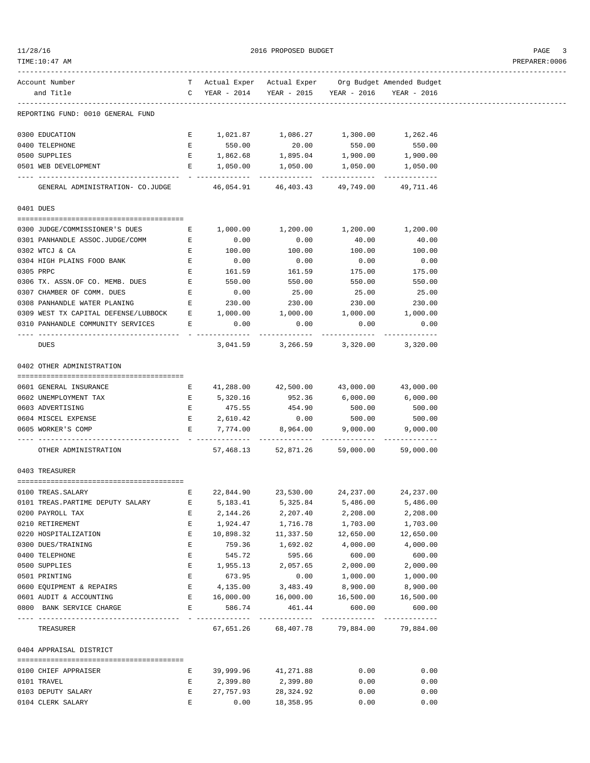| 1/28/16 |  |
|---------|--|
|         |  |

 $2016 \text{ PROPOSED } BUDGET$ 

| Account Number                                                             |                                                |                     | T Actual Exper Actual Exper Org Budget Amended Budget |                     |                     |
|----------------------------------------------------------------------------|------------------------------------------------|---------------------|-------------------------------------------------------|---------------------|---------------------|
| and Title                                                                  |                                                |                     | C YEAR - 2014 YEAR - 2015 YEAR - 2016 YEAR - 2016     |                     |                     |
|                                                                            |                                                |                     |                                                       |                     |                     |
| REPORTING FUND: 0010 GENERAL FUND                                          |                                                |                     |                                                       |                     |                     |
|                                                                            |                                                |                     |                                                       |                     |                     |
| 0300 EDUCATION                                                             |                                                |                     | E 1,021.87 1,086.27 1,300.00 1,262.46                 |                     |                     |
| 0400 TELEPHONE                                                             |                                                | E 550.00            | 20.00                                                 | 550.00              | 550.00              |
| 0500 SUPPLIES                                                              |                                                |                     | E $1,862.68$ 1,895.04                                 |                     | 1,900.00 1,900.00   |
| 0501 WEB DEVELOPMENT                                                       |                                                | E 1,050.00          | 1,050.00                                              | 1,050.00            | 1,050.00            |
| GENERAL ADMINISTRATION- CO.JUDGE 46,054.91 46,403.43 49,749.00 49,711.46   |                                                |                     |                                                       |                     |                     |
| 0401 DUES                                                                  |                                                |                     |                                                       |                     |                     |
|                                                                            |                                                |                     |                                                       |                     |                     |
| 0300 JUDGE/COMMISSIONER'S DUES                                             | $\mathbf{E}$                                   |                     | 1,000.00 1,200.00                                     |                     | 1,200.00 1,200.00   |
| 0301 PANHANDLE ASSOC.JUDGE/COMM E B 0.00                                   |                                                |                     | 0.00                                                  | 40.00               | 40.00               |
| 0302 WTCJ & CA                                                             |                                                | E 100.00            | 100.00                                                | 100.00              | 100.00              |
| 0304 HIGH PLAINS FOOD BANK                                                 | $\mathbf{E}$ and $\mathbf{E}$ and $\mathbf{E}$ | 0.00                | 0.00                                                  |                     | 0.00                |
| 0305 PRPC                                                                  | $\mathbf{E}$ and $\mathbf{E}$                  |                     | 161.59                                                | $0.00$<br>175.00    | 175.00              |
| 0306 TX. ASSN.OF CO. MEMB. DUES                                            | $\mathbf{E}$ and $\mathbf{E}$                  | 161.59<br>550.00    | 550.00                                                | 550.00              | 550.00              |
| $\mathbf{E}$<br>0307 CHAMBER OF COMM. DUES                                 |                                                | 0.00                | 25.00                                                 | 25.00               | 25.00               |
| 0308 PANHANDLE WATER PLANING $E$ 230.00 230.00 230.00 230.00 230.00        |                                                |                     |                                                       |                     |                     |
|                                                                            |                                                |                     |                                                       |                     |                     |
| 0309 WEST TX CAPITAL DEFENSE/LUBBOCK E 1,000.00 1,000.00 1,000.00 1,000.00 |                                                |                     |                                                       |                     |                     |
| 0310 PANHANDLE COMMUNITY SERVICES E                                        |                                                | 0.00                | 0.00<br>-------------                                 | 0.00<br>----------- | 0.00                |
| DUES                                                                       |                                                |                     | 3,041.59 3,266.59 3,320.00 3,320.00                   |                     |                     |
| 0402 OTHER ADMINISTRATION                                                  |                                                |                     |                                                       |                     |                     |
|                                                                            |                                                |                     |                                                       |                     |                     |
| 0601 GENERAL INSURANCE                                                     |                                                |                     | E 41,288.00 42,500.00                                 |                     | 43,000.00 43,000.00 |
| 0602 UNEMPLOYMENT TAX                                                      |                                                | E 5,320.16          | 952.36                                                | 6,000.00            | 6,000.00            |
| 0603 ADVERTISING                                                           | $\mathbf{E}$ and $\mathbf{E}$                  |                     | 475.55 454.90 500.00                                  |                     | 500.00              |
| 0604 MISCEL EXPENSE                                                        |                                                |                     | E 2,610.42 0.00 500.00 500.00                         |                     |                     |
| 0605 WORKER'S COMP                                                         |                                                |                     | E 7,774.00 8,964.00 9,000.00 9,000.00                 |                     |                     |
|                                                                            |                                                |                     |                                                       |                     |                     |
| OTHER ADMINISTRATION                                                       |                                                |                     | 57,468.13 52,871.26 59,000.00 59,000.00               |                     |                     |
| 0403 TREASURER                                                             |                                                |                     |                                                       |                     |                     |
|                                                                            |                                                |                     |                                                       |                     |                     |
| 0100 TREAS. SALARY                                                         |                                                |                     | E $22,844.90$ $23,530.00$ $24,237.00$ $24,237.00$     |                     |                     |
| 0101 TREAS. PARTIME DEPUTY SALARY                                          |                                                | E 5, 183.41         | 5,325.84                                              | 5,486.00            | 5,486.00            |
| 0200 PAYROLL TAX                                                           | Е                                              | 2,144.26            | 2,207.40                                              | 2,208.00            | 2,208.00            |
| 0210 RETIREMENT                                                            | Ε                                              | 1,924.47            | 1,716.78                                              | 1,703.00            | 1,703.00            |
| 0220 HOSPITALIZATION                                                       | $\mathbf{E}$                                   | 10,898.32           | 11,337.50                                             | 12,650.00           | 12,650.00           |
| 0300 DUES/TRAINING                                                         | Е                                              | 759.36              | 1,692.02                                              | 4,000.00            | 4,000.00            |
| 0400 TELEPHONE                                                             | Ε                                              | 545.72              | 595.66                                                | 600.00              | 600.00              |
| 0500 SUPPLIES                                                              | E                                              | 1,955.13            | 2,057.65                                              | 2,000.00            | 2,000.00            |
| 0501 PRINTING                                                              | Е                                              | 673.95              | 0.00                                                  | 1,000.00            | 1,000.00            |
| 0600 EQUIPMENT & REPAIRS                                                   | E                                              | 4, 135.00 3, 483.49 |                                                       | 8,900.00            | 8,900.00            |
| 0601 AUDIT & ACCOUNTING                                                    | E                                              |                     | 16,000.00  16,000.00                                  | 16,500.00           | 16,500.00           |
| 0800 BANK SERVICE CHARGE                                                   | Е                                              | 586.74              | 461.44                                                | 600.00              | 600.00              |
| TREASURER                                                                  |                                                |                     | 67,651.26 68,407.78 79,884.00 79,884.00               |                     |                     |
| 0404 APPRAISAL DISTRICT                                                    |                                                |                     |                                                       |                     |                     |
|                                                                            |                                                |                     |                                                       |                     |                     |
| 0100 CHIEF APPRAISER                                                       | Е                                              | 39,999.96           | 41,271.88                                             | 0.00                | 0.00                |
| 0101 TRAVEL                                                                | $\mathbf{E}$                                   | 2,399.80            | 2,399.80                                              | 0.00                | 0.00                |
| 0103 DEPUTY SALARY                                                         | Е                                              | 27,757.93           | 28,324.92                                             | 0.00                | 0.00                |
| 0104 CLERK SALARY                                                          | Ε                                              | 0.00                | 18,358.95                                             | 0.00                | 0.00                |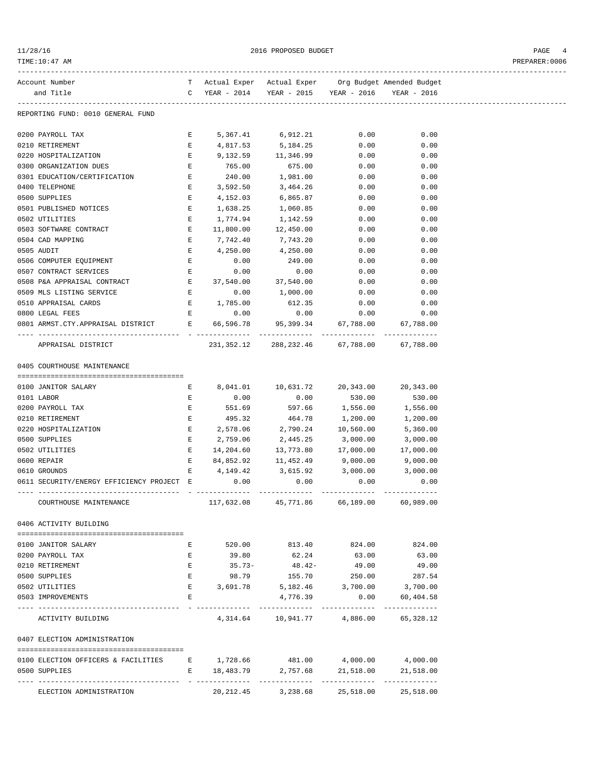| 11/28/16                                                                    |                               |                               | 2016 PROPOSED BUDGET                                  |                            |           | PAGE<br>4      |
|-----------------------------------------------------------------------------|-------------------------------|-------------------------------|-------------------------------------------------------|----------------------------|-----------|----------------|
| TIME:10:47 AM                                                               |                               |                               |                                                       |                            |           | PREPARER: 0006 |
| Account Number                                                              |                               |                               | T Actual Exper Actual Exper Org Budget Amended Budget |                            |           |                |
| and Title                                                                   |                               |                               | C YEAR - 2014 YEAR - 2015 YEAR - 2016 YEAR - 2016     |                            |           |                |
| REPORTING FUND: 0010 GENERAL FUND                                           |                               |                               |                                                       |                            |           |                |
| 0200 PAYROLL TAX                                                            |                               | $\mathbf{E}$ and $\mathbf{E}$ | 5,367.41 6,912.21 0.00 0.00                           |                            |           |                |
| 0210 RETIREMENT                                                             |                               | $\mathbf{E}$ and $\mathbf{E}$ | 4,817.53 5,184.25                                     | 0.00                       | 0.00      |                |
| 0220 HOSPITALIZATION                                                        |                               | E 9,132.59                    | 11,346.99                                             | 0.00                       | 0.00      |                |
| 0300 ORGANIZATION DUES                                                      | E                             | 765.00                        | 675.00                                                | 0.00                       | 0.00      |                |
| 0301 EDUCATION/CERTIFICATION                                                | $\mathbf{E}$                  | 240.00                        | 1,981.00                                              | 0.00                       | 0.00      |                |
| 0400 TELEPHONE                                                              | Е                             | 3,592.50                      | 3,464.26                                              | 0.00                       | 0.00      |                |
| 0500 SUPPLIES                                                               | $\mathbf{E}$                  | 4,152.03                      | 6,865.87                                              | 0.00                       | 0.00      |                |
| 0501 PUBLISHED NOTICES                                                      | E                             | 1,638.25                      | 1,060.85                                              | 0.00                       | 0.00      |                |
| 0502 UTILITIES                                                              | Е                             | 1,774.94                      | 1,142.59                                              | 0.00                       | 0.00      |                |
| 0503 SOFTWARE CONTRACT                                                      | E                             | 11,800.00                     | 12,450.00                                             | 0.00                       | 0.00      |                |
| 0504 CAD MAPPING                                                            | $\mathbf{E}$ and $\mathbf{E}$ | 7,742.40                      | 7,743.20                                              | 0.00                       | 0.00      |                |
| 0505 AUDIT                                                                  |                               | E 4,250.00                    | 4,250.00                                              | 0.00                       | 0.00      |                |
| 0506 COMPUTER EQUIPMENT                                                     | E                             | 0.00                          | 249.00                                                | 0.00                       | 0.00      |                |
| 0507 CONTRACT SERVICES                                                      | $\mathbf{E}$                  | 0.00                          | 0.00                                                  | 0.00                       | 0.00      |                |
| 0508 P&A APPRAISAL CONTRACT                                                 |                               | E 37,540.00                   | 37,540.00                                             | 0.00                       | 0.00      |                |
| 0509 MLS LISTING SERVICE                                                    |                               | E 0.00                        | 1,000.00                                              | 0.00                       | 0.00      |                |
| 0510 APPRAISAL CARDS                                                        |                               | E 1,785.00                    | 612.35                                                | 0.00                       | 0.00      |                |
| 0800 LEGAL FEES                                                             |                               | E 0.00                        | $0.00$ $0.00$ $0.00$ $0.00$                           |                            |           |                |
| 0801 ARMST.CTY.APPRAISAL DISTRICT B 66,596.78 95,399.34 67,788.00 67,788.00 |                               |                               |                                                       |                            |           |                |
| APPRAISAL DISTRICT                                                          |                               |                               | 231,352.12 288,232.46 67,788.00 67,788.00             |                            |           |                |
| 0405 COURTHOUSE MAINTENANCE                                                 |                               |                               |                                                       |                            |           |                |
|                                                                             |                               |                               |                                                       |                            |           |                |
| 0100 JANITOR SALARY                                                         |                               |                               | E 8,041.01 10,631.72 20,343.00 20,343.00              |                            |           |                |
| 0101 LABOR                                                                  | E                             | 0.00                          | 0.00                                                  | 530.00                     | 530.00    |                |
| 0200 PAYROLL TAX                                                            | E                             | 551.69                        | 597.66                                                | 1,556.00                   | 1,556.00  |                |
| 0210 RETIREMENT                                                             | Е                             | 495.32                        | 464.78                                                | 1,200.00                   | 1,200.00  |                |
| 0220 HOSPITALIZATION                                                        | Е                             |                               | 2,578.06 2,790.24 10,560.00 5,360.00                  |                            |           |                |
| 0500 SUPPLIES                                                               | Е                             | 2,759.06                      | 2,445.25 3,000.00                                     |                            | 3,000.00  |                |
| 0502 UTILITIES                                                              | Е                             |                               | $14,204.60$ $13,773.80$ $17,000.00$ $17,000.00$       |                            |           |                |
| 0600 REPAIR                                                                 | Е                             | 84,852.92                     | 11,452.49                                             | 9,000.00                   | 9,000.00  |                |
| 0610 GROUNDS                                                                | E                             | 4,149.42                      | 3,615.92                                              | 3,000.00                   | 3,000.00  |                |
| 0611 SECURITY/ENERGY EFFICIENCY PROJECT E                                   |                               | 0.00                          | 0.00                                                  | 0.00                       | 0.00      |                |
| COURTHOUSE MAINTENANCE                                                      |                               |                               | 117,632.08 45,771.86 66,189.00 60,989.00              |                            |           |                |
| 0406 ACTIVITY BUILDING                                                      |                               |                               |                                                       |                            |           |                |
| 0100 JANITOR SALARY                                                         | Е                             |                               | 520.00 813.40 824.00 824.00                           |                            |           |                |
| 0200 PAYROLL TAX                                                            | Е                             | 39.80                         | 62.24                                                 | 63.00                      | 63.00     |                |
| 0210 RETIREMENT                                                             | E                             | $35.73-$                      | $48.42-$                                              | 49.00                      | 49.00     |                |
| 0500 SUPPLIES                                                               | $\mathbf{E}$                  | 98.79                         | 155.70                                                | 250.00                     | 287.54    |                |
| 0502 UTILITIES                                                              | $E =$                         | 3,691.78                      |                                                       | 5,182.46 3,700.00 3,700.00 |           |                |
| 0503 IMPROVEMENTS                                                           | Е                             |                               | 4,776.39                                              | 0.00                       | 60,404.58 |                |
| ACTIVITY BUILDING                                                           |                               |                               | 4,314.64 10,941.77 4,886.00                           |                            | 65,328.12 |                |
| 0407 ELECTION ADMINISTRATION                                                |                               |                               |                                                       |                            |           |                |
| 0100 ELECTION OFFICERS & FACILITIES                                         |                               |                               | E 1,728.66 481.00 4,000.00 4,000.00                   |                            |           |                |
| 0500 SUPPLIES                                                               | Е                             |                               | 18,483.79 2,757.68 21,518.00 21,518.00                |                            |           |                |
|                                                                             |                               |                               |                                                       |                            |           |                |

ELECTION ADMINISTRATION 20,212.45 3,238.68 25,518.00 25,518.00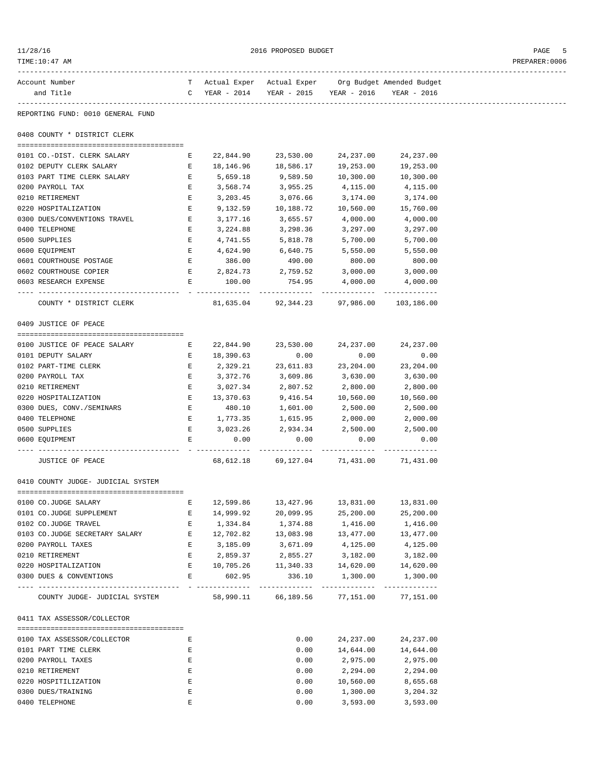| 11/28/16<br>TIME:10:47 AM          |                                                |                                                   | 2016 PROPOSED BUDGET                     |                     |                                                       | PAGE<br>5<br>PREPARER: 0006 |
|------------------------------------|------------------------------------------------|---------------------------------------------------|------------------------------------------|---------------------|-------------------------------------------------------|-----------------------------|
| Account Number                     |                                                |                                                   |                                          |                     | T Actual Exper Actual Exper Org Budget Amended Budget |                             |
| and Title                          |                                                | C YEAR - 2014 YEAR - 2015 YEAR - 2016 YEAR - 2016 |                                          |                     |                                                       |                             |
| REPORTING FUND: 0010 GENERAL FUND  |                                                |                                                   |                                          |                     |                                                       |                             |
| 0408 COUNTY * DISTRICT CLERK       |                                                |                                                   |                                          |                     |                                                       |                             |
| 0101 CO.-DIST. CLERK SALARY        | E                                              | 22,844.90                                         |                                          | 23,530.00 24,237.00 | 24, 237.00                                            |                             |
| 0102 DEPUTY CLERK SALARY           | $\mathbf{E}$                                   |                                                   | 18, 146. 96   18, 586. 17                | 19,253.00           | 19,253.00                                             |                             |
| 0103 PART TIME CLERK SALARY B      |                                                | 5,659.18                                          | 9,589.50 10,300.00                       |                     | 10,300.00                                             |                             |
| 0200 PAYROLL TAX                   | E                                              | 3,568.74                                          | 3,955.25                                 | 4,115.00            | 4,115.00                                              |                             |
| 0210 RETIREMENT                    | E                                              | 3,203.45                                          | 3,076.66                                 | 3,174.00            | 3,174.00                                              |                             |
| 0220 HOSPITALIZATION               | E                                              | 9,132.59                                          | 10,188.72                                | 10,560.00           | 15,760.00                                             |                             |
| 0300 DUES/CONVENTIONS TRAVEL       | $\mathbf{E}$ and $\mathbf{E}$ and $\mathbf{E}$ | 3,177.16                                          | 3,655.57                                 | 4,000.00            | 4,000.00                                              |                             |
| 0400 TELEPHONE                     | E                                              | 3,224.88                                          | 3,298.36                                 | 3,297.00            | 3,297.00                                              |                             |
| 0500 SUPPLIES                      | $E =$                                          | 4,741.55                                          | 5,818.78                                 | 5,700.00            | 5,700.00                                              |                             |
| 0600 EQUIPMENT                     | $\mathbf{E}$                                   | 4,624.90                                          | 6,640.75                                 | 5,550.00            | 5,550.00                                              |                             |
| 0601 COURTHOUSE POSTAGE            | E                                              | 386.00                                            | 490.00                                   | 800.00              | 800.00                                                |                             |
| 0602 COURTHOUSE COPIER             |                                                | $E$ 2,824.73 2,759.52 3,000.00 3,000.00           |                                          |                     |                                                       |                             |
| 0603 RESEARCH EXPENSE              | $E$ and $E$                                    | 100.00                                            |                                          | 754.95 4,000.00     | 4,000.00                                              |                             |
| COUNTY * DISTRICT CLERK            |                                                |                                                   | 81,635.04 92,344.23 97,986.00 103,186.00 |                     |                                                       |                             |
| 0409 JUSTICE OF PEACE              |                                                |                                                   |                                          |                     |                                                       |                             |
|                                    |                                                |                                                   |                                          |                     |                                                       |                             |
| 0100 JUSTICE OF PEACE SALARY E     |                                                |                                                   | 22,844.90 23,530.00                      | 24,237.00           | 24, 237.00                                            |                             |
| 0101 DEPUTY SALARY                 |                                                | E 18,390.63                                       | 0.00                                     | 0.00                | 0.00                                                  |                             |
| 0102 PART-TIME CLERK               | $\mathbf{E}$                                   | 2,329.21                                          | 23,611.83 23,204.00                      |                     | 23,204.00                                             |                             |
| 0200 PAYROLL TAX                   | $E$ and $E$                                    | 3,372.76                                          | 3,609.86                                 | 3,630.00            | 3,630.00                                              |                             |
| 0210 RETIREMENT                    | $\mathbf{E}$                                   | 3,027.34                                          | 2,807.52                                 | 2,800.00            | 2,800.00                                              |                             |
| 0220 HOSPITALIZATION               |                                                | E 13,370.63                                       | 9,416.54 10,560.00                       |                     | 10,560.00                                             |                             |
| 0300 DUES, CONV./SEMINARS          | $\mathbf{E}$                                   | 480.10                                            | 1,601.00                                 | 2,500.00            | 2,500.00                                              |                             |
| 0400 TELEPHONE                     | $\mathbf{E}$                                   | 1,773.35                                          | 1,615.95                                 | 2,000.00            | 2,000.00                                              |                             |
| 0500 SUPPLIES<br>0600 EOUIPMENT    | $E =$<br>Е                                     | 3,023.26<br>0.00                                  | 2,934.34<br>0.00                         | 2,500.00<br>0.00    | 2,500.00<br>0.00                                      |                             |
|                                    |                                                | ----------                                        |                                          |                     |                                                       |                             |
| JUSTICE OF PEACE                   |                                                |                                                   | 68,612.18 69,127.04 71,431.00 71,431.00  |                     |                                                       |                             |
| 0410 COUNTY JUDGE- JUDICIAL SYSTEM |                                                |                                                   |                                          |                     |                                                       |                             |
| 0100 CO.JUDGE SALARY               | Е                                              | 12,599.86                                         | 13,427.96                                | 13,831.00           | 13,831.00                                             |                             |
| 0101 CO.JUDGE SUPPLEMENT           | Е                                              | 14,999.92                                         | 20,099.95                                | 25,200.00           | 25,200.00                                             |                             |
| 0102 CO.JUDGE TRAVEL               | E                                              | 1,334.84                                          | 1,374.88                                 | 1,416.00            | 1,416.00                                              |                             |
| 0103 CO.JUDGE SECRETARY SALARY     | $\mathbf{E}$                                   | 12,702.82                                         | 13,083.98                                | 13,477.00           | 13,477.00                                             |                             |
| 0200 PAYROLL TAXES                 | Е                                              | 3,185.09                                          | 3,671.09                                 | 4,125.00            | 4,125.00                                              |                             |
| 0210 RETIREMENT                    | E                                              | 2,859.37                                          | 2,855.27                                 | 3,182.00            | 3,182.00                                              |                             |
| 0220 HOSPITALIZATION               | $\mathbf{E}$ and $\mathbf{E}$                  |                                                   | 10,705.26 11,340.33 14,620.00 14,620.00  |                     |                                                       |                             |
| 0300 DUES & CONVENTIONS            | $E =$                                          | 602.95                                            |                                          | 336.10 1,300.00     | 1,300.00                                              |                             |
| COUNTY JUDGE- JUDICIAL SYSTEM      |                                                |                                                   | 58,990.11 66,189.56 77,151.00            |                     | 77,151.00                                             |                             |
| 0411 TAX ASSESSOR/COLLECTOR        |                                                |                                                   |                                          |                     |                                                       |                             |
| 0100 TAX ASSESSOR/COLLECTOR        | Е                                              |                                                   | 0.00                                     | 24,237.00           | 24, 237.00                                            |                             |
| 0101 PART TIME CLERK               | Е                                              |                                                   | 0.00                                     | 14,644.00           | 14,644.00                                             |                             |
| 0200 PAYROLL TAXES                 | Е                                              |                                                   | 0.00                                     | 2,975.00            | 2,975.00                                              |                             |
| 0210 RETIREMENT                    | Е                                              |                                                   | 0.00                                     | 2,294.00            | 2,294.00                                              |                             |
| 0220 HOSPITILIZATION               | Е                                              |                                                   | 0.00                                     | 10,560.00           | 8,655.68                                              |                             |
|                                    |                                                |                                                   |                                          |                     |                                                       |                             |
| 0300 DUES/TRAINING                 | Ε                                              |                                                   | 0.00                                     | 1,300.00            | 3,204.32                                              |                             |

0400 TELEPHONE E 0.00 3,593.00 3,593.00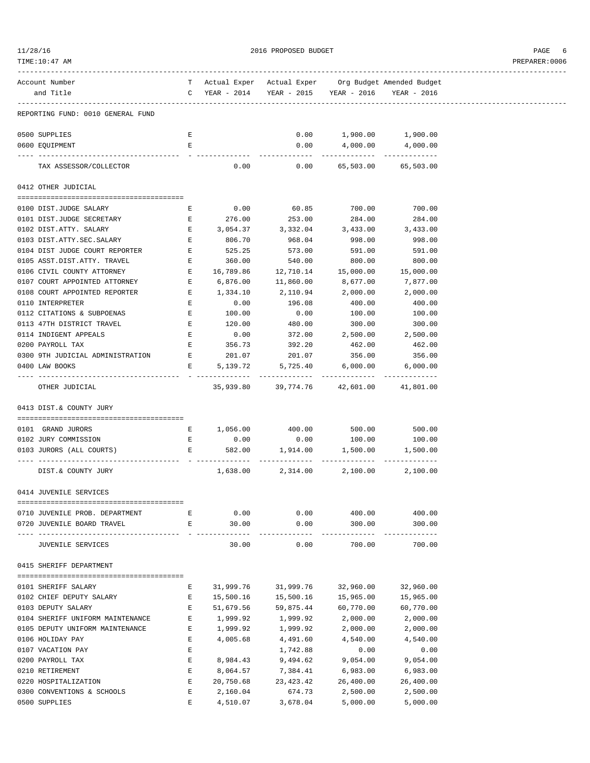| 1/28/16 |  |
|---------|--|
|         |  |

2016 PROPOSED BUDGET AND STREET STREET ASSESSED FOR STREET ASSESSED FOR STREET ASSESSED FOR STREET ASSESSED FOR STREET ASSESSED FOR STREET ASSESSED FOR STREET ASSESSED FOR STREET ASSESSED FOR STREET ASSESSED FOR STREET ASS

TIME:10:47 AM PREPARER:0006

| Account Number                    |                                                                                                                                                                                                                                      |           |                                                                                                |               |                                |
|-----------------------------------|--------------------------------------------------------------------------------------------------------------------------------------------------------------------------------------------------------------------------------------|-----------|------------------------------------------------------------------------------------------------|---------------|--------------------------------|
| and Title                         |                                                                                                                                                                                                                                      |           | T Actual Exper Actual Exper Org Budget Amended Budget<br>C YEAR - 2014 YEAR - 2015 YEAR - 2016 |               | YEAR - 2016                    |
|                                   |                                                                                                                                                                                                                                      |           |                                                                                                |               |                                |
| REPORTING FUND: 0010 GENERAL FUND |                                                                                                                                                                                                                                      |           |                                                                                                |               |                                |
|                                   |                                                                                                                                                                                                                                      |           |                                                                                                |               |                                |
| 0500 SUPPLIES                     | E                                                                                                                                                                                                                                    |           | 0.00                                                                                           |               | 1,900.00 1,900.00              |
| 0600 EQUIPMENT                    | E                                                                                                                                                                                                                                    |           | 0.00                                                                                           | 4,000.00      | 4,000.00                       |
|                                   |                                                                                                                                                                                                                                      |           | -------------                                                                                  |               | ------------------------------ |
| TAX ASSESSOR/COLLECTOR            |                                                                                                                                                                                                                                      | 0.00      | 0.00                                                                                           |               | 65,503.00 65,503.00            |
|                                   |                                                                                                                                                                                                                                      |           |                                                                                                |               |                                |
| 0412 OTHER JUDICIAL               |                                                                                                                                                                                                                                      |           |                                                                                                |               |                                |
|                                   |                                                                                                                                                                                                                                      |           |                                                                                                |               |                                |
| 0100 DIST.JUDGE SALARY            | $\mathbf{E}$ and $\mathbf{E}$ and $\mathbf{E}$                                                                                                                                                                                       | 0.00      |                                                                                                |               | 60.85 700.00 700.00            |
| 0101 DIST.JUDGE SECRETARY         | <b>Experimental Experimental Experimental Experimental Experimental Experimental Experimental Experimental Experimental Experimental Experimental Experimental Experimental Experimental Experimental Experimental Experimental </b> | 276.00    |                                                                                                | 253.00 284.00 | 284.00                         |
| 0102 DIST.ATTY. SALARY            | E                                                                                                                                                                                                                                    |           | $3,054.37$ $3,332.04$ $3,433.00$ $3,433.00$                                                    |               |                                |
| 0103 DIST.ATTY.SEC.SALARY         | E                                                                                                                                                                                                                                    | 806.70    | 968.04                                                                                         | 998.00        | 998.00                         |
| 0104 DIST JUDGE COURT REPORTER    | E                                                                                                                                                                                                                                    | 525.25    | 573.00                                                                                         | 591.00        | 591.00                         |
| 0105 ASST.DIST.ATTY. TRAVEL       | E                                                                                                                                                                                                                                    | 360.00    | 540.00                                                                                         | 800.00        | 800.00                         |
| 0106 CIVIL COUNTY ATTORNEY        | $\mathbf{E}$ and $\mathbf{E}$                                                                                                                                                                                                        | 16,789.86 | 12,710.14  15,000.00  15,000.00                                                                |               |                                |
| 0107 COURT APPOINTED ATTORNEY     | <b>Example 20</b>                                                                                                                                                                                                                    | 6,876.00  | 11,860.00                                                                                      | 8,677.00      | 7,877.00                       |
| 0108 COURT APPOINTED REPORTER     | $\mathbf{E}$                                                                                                                                                                                                                         | 1,334.10  | 2,110.94                                                                                       | 2,000.00      | 2,000.00                       |
| 0110 INTERPRETER                  | E                                                                                                                                                                                                                                    | 0.00      | 196.08                                                                                         | 400.00        | 400.00                         |
| 0112 CITATIONS & SUBPOENAS        | E                                                                                                                                                                                                                                    | 100.00    | 0.00                                                                                           | 100.00        | 100.00                         |
| 0113 47TH DISTRICT TRAVEL         | $\mathbf{E}$                                                                                                                                                                                                                         | 120.00    | 480.00                                                                                         | 300.00        | 300.00                         |
| 0114 INDIGENT APPEALS             | E                                                                                                                                                                                                                                    | 0.00      |                                                                                                |               | 372.00 2,500.00 2,500.00       |
| 0200 PAYROLL TAX                  | E                                                                                                                                                                                                                                    | 356.73    | 392.20                                                                                         | 462.00        | 462.00                         |
| 0300 9TH JUDICIAL ADMINISTRATION  | $\mathbf{E}$ and $\mathbf{E}$                                                                                                                                                                                                        | 201.07    | 201.07                                                                                         | 356.00        | 356.00                         |
| 0400 LAW BOOKS                    | $E$ and $E$                                                                                                                                                                                                                          | 5,139.72  | 5,725.40                                                                                       | 6,000.00      | 6,000.00                       |
| OTHER JUDICIAL                    |                                                                                                                                                                                                                                      |           | 35,939.80 39,774.76 42,601.00 41,801.00                                                        |               |                                |
|                                   |                                                                                                                                                                                                                                      |           |                                                                                                |               |                                |
| 0413 DIST.& COUNTY JURY           |                                                                                                                                                                                                                                      |           |                                                                                                |               |                                |
|                                   |                                                                                                                                                                                                                                      |           |                                                                                                |               |                                |
| 0101 GRAND JURORS                 |                                                                                                                                                                                                                                      | $E$ 0.00  | E 1,056.00 400.00 500.00 500.00                                                                |               | $0.00$ 100.00 100.00           |
| 0102 JURY COMMISSION              |                                                                                                                                                                                                                                      |           |                                                                                                |               |                                |
| 0103 JURORS (ALL COURTS)          | <b>Experience of Excellent Excellent Excellent</b>                                                                                                                                                                                   |           |                                                                                                |               |                                |
| DIST.& COUNTY JURY                |                                                                                                                                                                                                                                      | 1,638.00  |                                                                                                |               | 2,314.00 2,100.00 2,100.00     |
|                                   |                                                                                                                                                                                                                                      |           |                                                                                                |               |                                |
| 0414 JUVENILE SERVICES            |                                                                                                                                                                                                                                      |           |                                                                                                |               |                                |
|                                   |                                                                                                                                                                                                                                      |           |                                                                                                |               |                                |
| 0710 JUVENILE PROB. DEPARTMENT    | Е                                                                                                                                                                                                                                    | 0.00      | 0.00                                                                                           | 400.00        | 400.00                         |
| 0720 JUVENILE BOARD TRAVEL        | Е                                                                                                                                                                                                                                    | 30.00     | 0.00                                                                                           | 300.00        | 300.00                         |
|                                   |                                                                                                                                                                                                                                      |           |                                                                                                |               |                                |
| JUVENILE SERVICES                 |                                                                                                                                                                                                                                      | 30.00     | 0.00                                                                                           | 700.00        | 700.00                         |
| 0415 SHERIFF DEPARTMENT           |                                                                                                                                                                                                                                      |           |                                                                                                |               |                                |
|                                   |                                                                                                                                                                                                                                      |           |                                                                                                |               |                                |
| 0101 SHERIFF SALARY               | Е                                                                                                                                                                                                                                    | 31,999.76 | 31,999.76                                                                                      | 32,960.00     | 32,960.00                      |
| 0102 CHIEF DEPUTY SALARY          | Ε                                                                                                                                                                                                                                    | 15,500.16 | 15,500.16                                                                                      | 15,965.00     | 15,965.00                      |
| 0103 DEPUTY SALARY                | Е                                                                                                                                                                                                                                    | 51,679.56 | 59,875.44                                                                                      | 60,770.00     | 60,770.00                      |
| 0104 SHERIFF UNIFORM MAINTENANCE  | Е                                                                                                                                                                                                                                    | 1,999.92  | 1,999.92                                                                                       | 2,000.00      | 2,000.00                       |
| 0105 DEPUTY UNIFORM MAINTENANCE   | Е                                                                                                                                                                                                                                    | 1,999.92  | 1,999.92                                                                                       | 2,000.00      | 2,000.00                       |
| 0106 HOLIDAY PAY                  | Е                                                                                                                                                                                                                                    | 4,005.68  | 4,491.60                                                                                       | 4,540.00      | 4,540.00                       |
| 0107 VACATION PAY                 | Е                                                                                                                                                                                                                                    |           | 1,742.88                                                                                       | 0.00          | 0.00                           |
| 0200 PAYROLL TAX                  | Е                                                                                                                                                                                                                                    | 8,984.43  | 9,494.62                                                                                       | 9,054.00      | 9,054.00                       |
| 0210 RETIREMENT                   | Е                                                                                                                                                                                                                                    | 8,064.57  | 7,384.41                                                                                       | 6,983.00      | 6,983.00                       |
| 0220 HOSPITALIZATION              | Е                                                                                                                                                                                                                                    | 20,750.68 | 23,423.42                                                                                      | 26,400.00     | 26,400.00                      |
| 0300 CONVENTIONS & SCHOOLS        | Е                                                                                                                                                                                                                                    | 2,160.04  | 674.73                                                                                         | 2,500.00      | 2,500.00                       |
|                                   |                                                                                                                                                                                                                                      |           |                                                                                                |               |                                |

0500 SUPPLIES E 4,510.07 3,678.04 5,000.00 5,000.00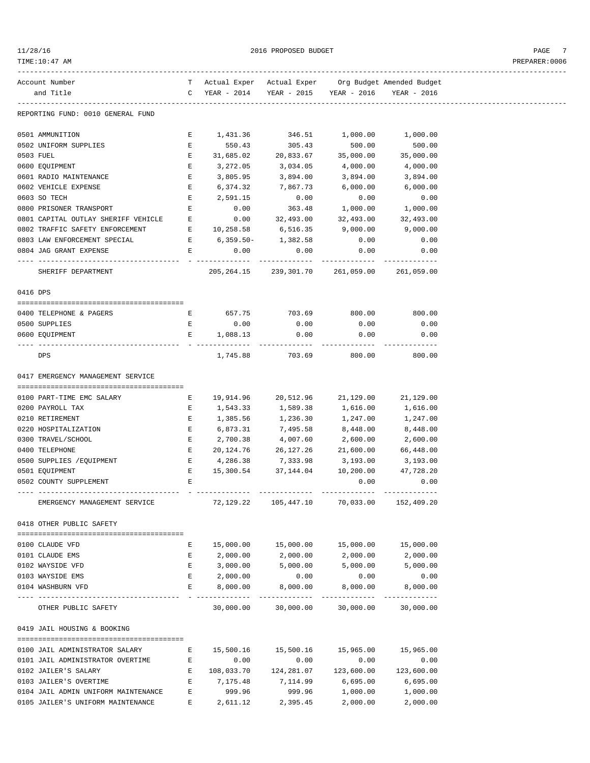| 1/28/16 |  |
|---------|--|
|         |  |

 $2016 \text{ PROPOSED } BUDGET$  PAGE 7

| TIME:10:47 AM                       |              |                    |                                                                 |                                     |                            |
|-------------------------------------|--------------|--------------------|-----------------------------------------------------------------|-------------------------------------|----------------------------|
| Account Number                      |              |                    | T Actual Exper Actual Exper Org Budget Amended Budget           |                                     |                            |
| and Title                           | C            | YEAR - 2014        |                                                                 | YEAR - 2015 YEAR - 2016 YEAR - 2016 |                            |
| REPORTING FUND: 0010 GENERAL FUND   |              |                    |                                                                 |                                     |                            |
| 0501 AMMUNITION                     | Е            | 1,431.36           |                                                                 | 346.51 1,000.00 1,000.00            |                            |
| 0502 UNIFORM SUPPLIES               | Е            | 550.43             | 305.43                                                          | 500.00                              | 500.00                     |
| 0503 FUEL                           | E            | 31,685.02          | 20,833.67                                                       | 35,000.00                           | 35,000.00                  |
| 0600 EQUIPMENT                      | Е            | 3,272.05           | 3,034.05                                                        | 4,000.00                            | 4,000.00                   |
| 0601 RADIO MAINTENANCE              | Е            | 3,805.95           | 3,894.00                                                        | 3,894.00                            | 3,894.00                   |
| 0602 VEHICLE EXPENSE                | Е            | 6,374.32           | 7,867.73                                                        | 6,000.00                            | 6,000.00                   |
| 0603 SO TECH                        | Е            | 2,591.15           | 0.00                                                            | 0.00                                | 0.00                       |
| 0800 PRISONER TRANSPORT             | E            | 0.00               | 363.48                                                          | 1,000.00                            | 1,000.00                   |
| 0801 CAPITAL OUTLAY SHERIFF VEHICLE | E            |                    | $0.00$ $32,493.00$                                              | 32,493.00                           | 32,493.00                  |
| 0802 TRAFFIC SAFETY ENFORCEMENT     | E            | 10,258.58 6,516.35 |                                                                 | 9,000.00                            | 9,000.00                   |
| 0803 LAW ENFORCEMENT SPECIAL        | $\mathbf{E}$ | $6,359.50-$        | 1,382.58                                                        | 0.00                                | 0.00                       |
| 0804 JAG GRANT EXPENSE              | E            | 0.00               | 0.00                                                            | 0.00                                | 0.00                       |
| SHERIFF DEPARTMENT                  |              |                    | ------------<br>205, 264.15 239, 301.70 261, 059.00 261, 059.00 | --------------                      |                            |
| 0416 DPS                            |              |                    |                                                                 |                                     |                            |
|                                     |              |                    |                                                                 |                                     |                            |
| 0400 TELEPHONE & PAGERS             | E            | 657.75             | 703.69                                                          | 800.00                              | 800.00                     |
| 0500 SUPPLIES                       | E            | 0.00               | 0.00                                                            | 0.00                                | 0.00                       |
| 0600 EQUIPMENT                      | E            | 1,088.13           | 0.00<br>-------------                                           | 0.00                                | 0.00                       |
| DPS                                 |              | 1,745.88           | 703.69                                                          | 800.00                              | 800.00                     |
| 0417 EMERGENCY MANAGEMENT SERVICE   |              |                    |                                                                 |                                     |                            |
| 0100 PART-TIME EMC SALARY           | Е            | 19,914.96          | 20,512.96                                                       | 21,129.00                           | 21,129.00                  |
| 0200 PAYROLL TAX                    | Е            | 1,543.33           | 1,589.38                                                        | 1,616.00                            | 1,616.00                   |
| 0210 RETIREMENT                     | Е            | 1,385.56           | 1,236.30                                                        | 1,247.00                            | 1,247.00                   |
| 0220 HOSPITALIZATION                | Е            | 6,873.31           | 7,495.58                                                        | 8,448.00                            | 8,448.00                   |
| 0300 TRAVEL/SCHOOL                  | Ε            | 2,700.38           | 4,007.60                                                        | 2,600.00                            | 2,600.00                   |
| 0400 TELEPHONE                      | Е            | 20,124.76          | 26,127.26                                                       | 21,600.00                           | 66,448.00                  |
| 0500 SUPPLIES / EQUIPMENT           | Е            |                    | 4,286.38 7,333.98                                               | 3,193.00                            | 3,193.00                   |
| 0501 EQUIPMENT                      | Е            | 15,300.54          | 37,144.04                                                       | 10,200.00                           | 47,728.20                  |
| 0502 COUNTY SUPPLEMENT              | Е            |                    |                                                                 | 0.00                                | 0.00                       |
|                                     |              |                    | -------------                                                   |                                     |                            |
| EMERGENCY MANAGEMENT SERVICE        |              | 72,129.22          | 105,447.10                                                      | 70,033.00                           | 152,409.20                 |
| 0418 OTHER PUBLIC SAFETY            |              |                    |                                                                 |                                     |                            |
| 0100 CLAUDE VFD                     | E.           | 15,000.00          | 15,000.00                                                       | 15,000.00                           | 15,000.00                  |
| 0101 CLAUDE EMS                     | Е            | 2,000.00           | 2,000.00                                                        | 2,000.00                            | 2,000.00                   |
| 0102 WAYSIDE VFD                    | Е            | 3,000.00           | 5,000.00                                                        | 5,000.00                            | 5,000.00                   |
| 0103 WAYSIDE EMS                    | Е            | 2,000.00           | 0.00                                                            | 0.00                                | 0.00                       |
| 0104 WASHBURN VFD                   | Е            | 8,000.00           | 8,000.00                                                        | 8,000.00                            | 8,000.00                   |
| OTHER PUBLIC SAFETY                 |              | 30,000.00          | 30,000.00                                                       | 30,000.00                           | -------------<br>30,000.00 |
| 0419 JAIL HOUSING & BOOKING         |              |                    |                                                                 |                                     |                            |
|                                     |              |                    |                                                                 |                                     |                            |
| 0100 JAIL ADMINISTRATOR SALARY      | Е            | 15,500.16          | 15,500.16  15,965.00  15,965.00                                 |                                     |                            |
| 0101 JAIL ADMINISTRATOR OVERTIME    | E            | 0.00               | 0.00                                                            | 0.00                                | 0.00                       |
| 0102 JAILER'S SALARY                | Е            | 108,033.70         | 124,281.07                                                      | 123,600.00                          | 123,600.00                 |
| 0103 JAILER'S OVERTIME              | Е            | 7,175.48           | 7,114.99                                                        | 6,695.00                            | 6,695.00                   |
| 0104 JAIL ADMIN UNIFORM MAINTENANCE | Е            | 999.96             | 999.96                                                          | 1,000.00                            | 1,000.00                   |

0105 JAILER'S UNIFORM MAINTENANCE E 2,611.12 2,395.45 2,000.00 2,000.00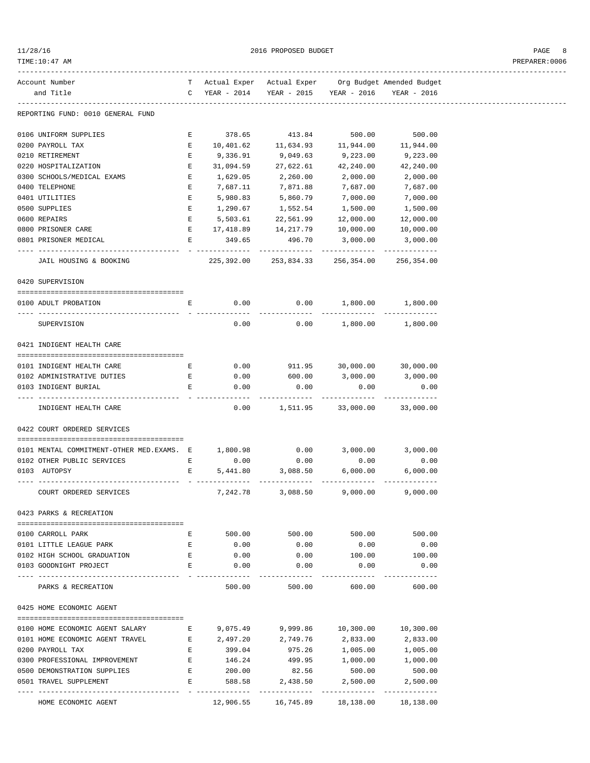| 11/28/16 |  |
|----------|--|
|          |  |

2016 PROPOSED BUDGET AND STRUCK AND THE PAGE 8

## TIME:10:47 AM PREPARER:0006

| Account Number                                        |                                                |                                           | T Actual Exper Actual Exper Org Budget Amended Budget |                                    |               |
|-------------------------------------------------------|------------------------------------------------|-------------------------------------------|-------------------------------------------------------|------------------------------------|---------------|
| and Title                                             |                                                |                                           | C YEAR - 2014 YEAR - 2015 YEAR - 2016 YEAR - 2016     |                                    |               |
|                                                       |                                                |                                           |                                                       |                                    |               |
| REPORTING FUND: 0010 GENERAL FUND                     |                                                |                                           |                                                       |                                    |               |
| 0106 UNIFORM SUPPLIES                                 |                                                |                                           | E 378.65 413.84 500.00 500.00                         |                                    |               |
| 0200 PAYROLL TAX                                      |                                                |                                           | E $10,401.62$ 11,634.93 11,944.00 11,944.00           |                                    |               |
| 0210 RETIREMENT                                       | E                                              | 9,336.91                                  | 9,049.63                                              | 9,223.00                           | 9,223.00      |
| 0220 HOSPITALIZATION                                  | E                                              | 31,094.59                                 | 27,622.61                                             | 42,240.00                          | 42,240.00     |
| 0300 SCHOOLS/MEDICAL EXAMS                            | E                                              | 1,629.05 2,260.00                         |                                                       | 2,000.00                           | 2,000.00      |
| 0400 TELEPHONE                                        | E                                              |                                           | 7,687.11 7,871.88                                     | 7,687.00                           | 7,687.00      |
| 0401 UTILITIES                                        | E                                              |                                           | 5,980.83 5,860.79                                     | 7,000.00                           | 7,000.00      |
| 0500 SUPPLIES                                         | Е                                              | 1,290.67                                  | $1\,, 552\,.54$                                       | 1,500.00                           | 1,500.00      |
| 0600 REPAIRS                                          | E                                              | 5,503.61                                  | 22,561.99                                             | 12,000.00                          | 12,000.00     |
| 0800 PRISONER CARE                                    |                                                |                                           | $E$ 17,418.89 14,217.79 10,000.00                     |                                    | 10,000.00     |
| 0801 PRISONER MEDICAL                                 |                                                | 349.65<br>$\mathbf{E}$ and $\mathbf{E}$   | 496.70                                                | 3,000.00                           | 3,000.00      |
|                                                       |                                                |                                           |                                                       |                                    |               |
| JAIL HOUSING & BOOKING                                |                                                |                                           | 225,392.00 253,834.33 256,354.00 256,354.00           |                                    |               |
| 0420 SUPERVISION                                      |                                                |                                           |                                                       |                                    |               |
| 0100 ADULT PROBATION                                  |                                                |                                           | E 0.00 0.00 1,800.00 1,800.00                         |                                    |               |
|                                                       |                                                |                                           |                                                       |                                    |               |
| SUPERVISION                                           |                                                | 0.00                                      |                                                       | $0.00$ 1,800.00 1,800.00           |               |
| 0421 INDIGENT HEALTH CARE                             |                                                |                                           |                                                       |                                    |               |
|                                                       |                                                |                                           |                                                       |                                    |               |
| 0101 INDIGENT HEALTH CARE                             |                                                |                                           | E 0.00 911.95 30,000.00 30,000.00                     |                                    |               |
| 0102 ADMINISTRATIVE DUTIES                            |                                                |                                           | E 0.00 600.00 3,000.00 3,000.00                       |                                    |               |
| 0103 INDIGENT BURIAL                                  | E                                              | 0.00                                      | 0.00                                                  | 0.00                               | 0.00          |
|                                                       |                                                |                                           |                                                       | -------------                      |               |
| INDIGENT HEALTH CARE                                  |                                                |                                           | $0.00$ 1,511.95 33,000.00 33,000.00                   |                                    |               |
| 0422 COURT ORDERED SERVICES                           |                                                |                                           |                                                       |                                    |               |
|                                                       |                                                |                                           |                                                       |                                    |               |
| 0101 MENTAL COMMITMENT-OTHER MED.EXAMS. E             |                                                | 1,800.98                                  |                                                       | $0.00$ 3,000.00 3,000.00           |               |
| 0102 OTHER PUBLIC SERVICES                            | $\mathbf{E}$ and $\mathbf{E}$ and $\mathbf{E}$ | 0.00                                      | 0.00                                                  | 0.00                               | 0.00          |
| 0103 AUTOPSY                                          |                                                | $\mathbf{E}$ and $\mathbf{E}$<br>5,441.80 | 3,088.50                                              | 6,000.00                           | 6,000.00      |
|                                                       |                                                |                                           |                                                       |                                    |               |
| COURT ORDERED SERVICES                                |                                                | 7,242.78                                  | 3,088.50                                              | 9,000.00                           | 9,000.00      |
| 0423 PARKS & RECREATION                               |                                                |                                           |                                                       |                                    |               |
|                                                       |                                                |                                           |                                                       |                                    |               |
| 0100 CARROLL PARK                                     | E                                              |                                           | 500.00 500.00 500.00 500.00                           |                                    |               |
| 0101 LITTLE LEAGUE PARK                               | E                                              | 0.00                                      | 0.00                                                  | 0.00                               | 0.00          |
| 0102 HIGH SCHOOL GRADUATION                           | $\mathbf{E}$                                   | 0.00                                      | 0.00                                                  | 100.00                             | 100.00        |
| 0103 GOODNIGHT PROJECT                                | E                                              | 0.00                                      | 0.00                                                  | 0.00                               | 0.00          |
| -----------------                                     |                                                |                                           |                                                       | -----------                        |               |
| PARKS & RECREATION                                    |                                                | 500.00                                    | 500.00                                                |                                    | 600.00 600.00 |
| 0425 HOME ECONOMIC AGENT                              |                                                |                                           |                                                       |                                    |               |
| 0100 HOME ECONOMIC AGENT SALARY                       | E                                              | 9,075.49                                  | 9,999.86                                              | 10,300.00                          | 10,300.00     |
| 0101 HOME ECONOMIC AGENT TRAVEL                       |                                                |                                           | E 2,497.20 2,749.76                                   |                                    |               |
|                                                       |                                                |                                           |                                                       | 2,833.00                           | 2,833.00      |
| 0200 PAYROLL TAX                                      | E                                              |                                           | 399.04 975.26 1,005.00 1,005.00                       |                                    |               |
| 0300 PROFESSIONAL IMPROVEMENT                         | E<br>E                                         | 146.24                                    | 82.56                                                 | 499.95 1,000.00 1,000.00<br>500.00 | 500.00        |
| 0500 DEMONSTRATION SUPPLIES<br>0501 TRAVEL SUPPLEMENT | E                                              | 200.00<br>588.58                          | 2,438.50                                              | 2,500.00                           | 2,500.00      |
|                                                       |                                                | ------------- - --------------            |                                                       |                                    |               |
|                                                       |                                                |                                           |                                                       |                                    |               |

HOME ECONOMIC AGENT 12,906.55 16,745.89 18,138.00 18,138.00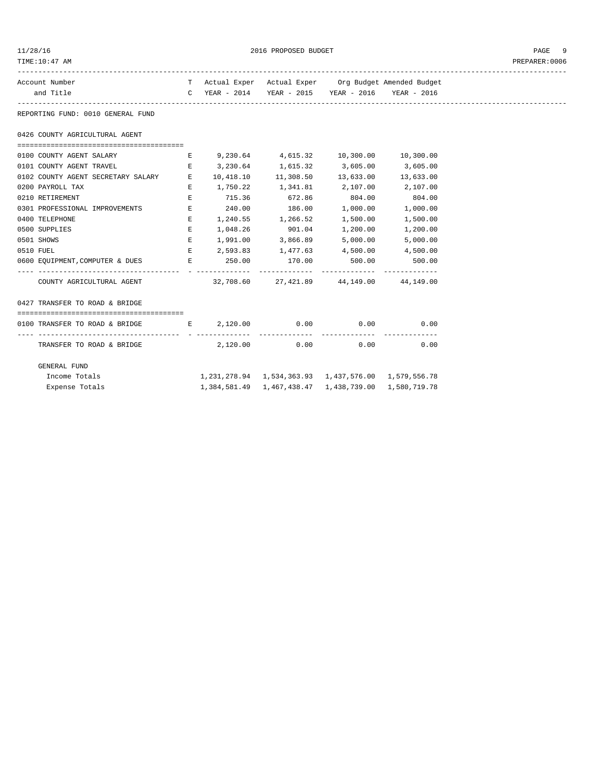| 11/28/16<br>TIME:10:47 AM                                          |                               |             | 2016 PROPOSED BUDGET                                              |                                                  |                                                       | PAGE<br>PREPARER: 0006 |
|--------------------------------------------------------------------|-------------------------------|-------------|-------------------------------------------------------------------|--------------------------------------------------|-------------------------------------------------------|------------------------|
| Account Number                                                     |                               |             |                                                                   |                                                  | T Actual Exper Actual Exper Org Budget Amended Budget |                        |
| and Title                                                          | $\mathbf{C}$                  | YEAR - 2014 |                                                                   | YEAR - 2015 YEAR - 2016                          | YEAR - 2016                                           |                        |
| REPORTING FUND: 0010 GENERAL FUND                                  |                               |             |                                                                   |                                                  |                                                       |                        |
| 0426 COUNTY AGRICULTURAL AGENT                                     |                               |             |                                                                   |                                                  |                                                       |                        |
| --------------------------------------<br>0100 COUNTY AGENT SALARY | E                             |             | 9,230.64 4,615.32 10,300.00                                       |                                                  | 10,300.00                                             |                        |
| 0101 COUNTY AGENT TRAVEL                                           | Е                             | 3,230.64    |                                                                   |                                                  | 3,605.00                                              |                        |
| 0102 COUNTY AGENT SECRETARY SALARY                                 | E                             | 10,418.10   |                                                                   | $1,615.32$ $3,605.00$<br>$11,308.50$ $13,633.00$ | 13,633.00                                             |                        |
| 0200 PAYROLL TAX                                                   | Е                             | 1,750.22    |                                                                   | 1,341.81 2,107.00                                | 2,107.00                                              |                        |
| 0210 RETIREMENT                                                    | Ε                             | 715.36      | 672.86                                                            | 804.00                                           | 804.00                                                |                        |
| 0301 PROFESSIONAL IMPROVEMENTS                                     | E                             | 240.00      | 186.00                                                            | 1,000.00                                         | 1,000.00                                              |                        |
| 0400 TELEPHONE                                                     | E                             |             | 1,240.55 1,266.52                                                 | 1,500.00                                         | 1,500.00                                              |                        |
| 0500 SUPPLIES                                                      | E                             | 1,048.26    | 901.04                                                            | 1,200.00                                         | 1,200.00                                              |                        |
| 0501 SHOWS                                                         | E                             | 1,991.00    | 3,866.89                                                          | 5,000.00                                         | 5,000.00                                              |                        |
| 0510 FUEL                                                          | E                             |             | 2,593.83 1,477.63 4,500.00                                        |                                                  | 4,500.00                                              |                        |
| 0600 EQUIPMENT, COMPUTER & DUES                                    | $\mathbf{E}$ and $\mathbf{E}$ | 250.00      | 170.00                                                            | 500.00                                           | 500.00                                                |                        |
| COUNTY AGRICULTURAL AGENT                                          |                               | 32,708.60   |                                                                   | 27,421.89 44,149.00                              | 44,149.00                                             |                        |
| 0427 TRANSFER TO ROAD & BRIDGE                                     |                               |             |                                                                   |                                                  |                                                       |                        |
|                                                                    |                               |             |                                                                   |                                                  |                                                       |                        |
| 0100 TRANSFER TO ROAD & BRIDGE                                     | <b>Experience Experience</b>  | 2,120.00    | 0.00                                                              | 0.00                                             | 0.00                                                  |                        |
| TRANSFER TO ROAD & BRIDGE                                          |                               | 2,120.00    |                                                                   | 0.00<br>0.00                                     | ------------<br>0.00                                  |                        |
| GENERAL FUND                                                       |                               |             |                                                                   |                                                  |                                                       |                        |
| Income Totals                                                      |                               |             | 1, 231, 278.94 1, 534, 363.93 1, 437, 576.00 1, 579, 556.78       |                                                  |                                                       |                        |
| Expense Totals                                                     |                               |             | 1, 384, 581.49   1, 467, 438.47   1, 438, 739.00   1, 580, 719.78 |                                                  |                                                       |                        |
|                                                                    |                               |             |                                                                   |                                                  |                                                       |                        |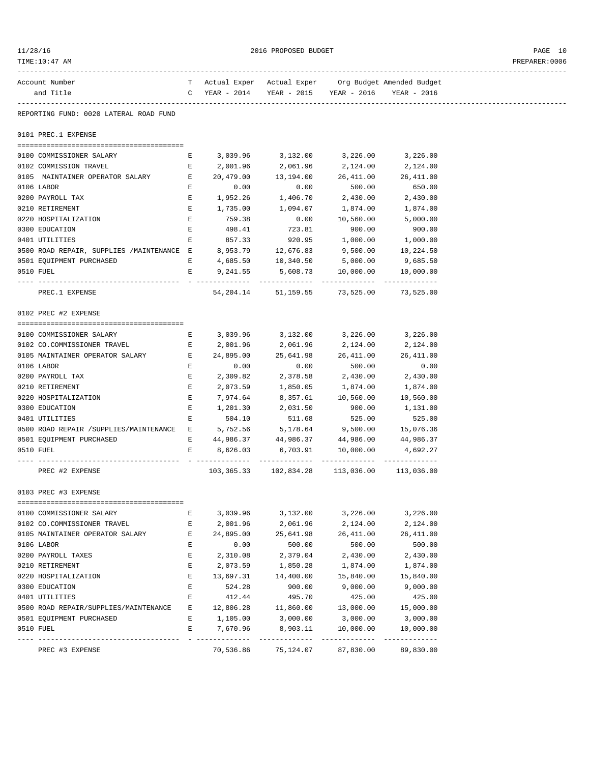| 11/28/16 |  |
|----------|--|
|          |  |

2016 PROPOSED BUDGET **PAGE 10** 

| TIME:10:47 AM                                                |   |                                                       |                                                       |                                          |                                                       | PREPARER:0006 |
|--------------------------------------------------------------|---|-------------------------------------------------------|-------------------------------------------------------|------------------------------------------|-------------------------------------------------------|---------------|
| Account Number                                               |   |                                                       |                                                       |                                          | T Actual Exper Actual Exper Org Budget Amended Budget |               |
| and Title                                                    |   | C YEAR - 2014 YEAR - 2015 YEAR - 2016 YEAR - 2016     |                                                       |                                          |                                                       |               |
| REPORTING FUND: 0020 LATERAL ROAD FUND                       |   |                                                       |                                                       |                                          |                                                       |               |
| 0101 PREC.1 EXPENSE                                          |   |                                                       |                                                       |                                          |                                                       |               |
| 0100 COMMISSIONER SALARY                                     |   | E 3,039.96 3,132.00 3,226.00 3,226.00                 |                                                       |                                          |                                                       |               |
| 0102 COMMISSION TRAVEL                                       |   | E 2,001.96 2,061.96 2,124.00 2,124.00                 |                                                       |                                          |                                                       |               |
| 0105 MAINTAINER OPERATOR SALARY                              |   | E 20,479.00 13,194.00 26,411.00                       |                                                       |                                          | 26,411.00                                             |               |
| 0106 LABOR                                                   | E | 0.00                                                  | 0.00                                                  | 500.00                                   | 650.00                                                |               |
| 0200 PAYROLL TAX                                             | E | 1,952.26                                              | 1,406.70                                              | 2,430.00                                 | 2,430.00                                              |               |
| 0210 RETIREMENT                                              | E | 1,735.00                                              |                                                       |                                          | 1,874.00                                              |               |
| 0220 HOSPITALIZATION                                         | E | 759.38                                                | 0.00                                                  |                                          | 10,560.00 5,000.00                                    |               |
| 0300 EDUCATION                                               | Е | 498.41                                                | 723.81                                                | 900.00                                   | 900.00                                                |               |
| 0401 UTILITIES                                               | Е | 857.33                                                |                                                       | 920.95 1,000.00                          | 1,000.00                                              |               |
| 0500 ROAD REPAIR, SUPPLIES /MAINTENANCE E 8,953.79 12,676.83 |   |                                                       |                                                       | 9,500.00                                 | 10,224.50                                             |               |
| 0501 EQUIPMENT PURCHASED                                     |   | $E$ 4,685.50 10,340.50                                |                                                       | 5,000.00                                 | 9,685.50                                              |               |
| 0510 FUEL                                                    |   | E $9,241.55$ $5,608.73$ $10,000.00$ $10,000.00$       |                                                       |                                          |                                                       |               |
| PREC.1 EXPENSE                                               |   |                                                       | 54, 204.14 51, 159.55 73, 525.00 73, 525.00           |                                          |                                                       |               |
| 0102 PREC #2 EXPENSE                                         |   |                                                       |                                                       |                                          |                                                       |               |
|                                                              |   |                                                       |                                                       |                                          |                                                       |               |
| 0100 COMMISSIONER SALARY                                     |   | $E$ 3,039.96 3,132.00 3,226.00 3,226.00               |                                                       |                                          |                                                       |               |
| 0102 CO.COMMISSIONER TRAVEL                                  |   | E 2,001.96                                            | 2,061.96 2,124.00 2,124.00                            |                                          |                                                       |               |
| 0105 MAINTAINER OPERATOR SALARY                              |   | E 24,895.00                                           |                                                       | 25,641.98 26,411.00 26,411.00            |                                                       |               |
| 0106 LABOR                                                   | Е | 0.00                                                  | 0.00                                                  | 500.00<br>2,378.58 2,430.00              | 0.00                                                  |               |
| 0200 PAYROLL TAX                                             | Е | 2,309.82                                              |                                                       |                                          | 2,430.00                                              |               |
| 0210 RETIREMENT                                              | Е | 2,073.59                                              |                                                       | 1,850.05 1,874.00                        | 1,874.00                                              |               |
| 0220 HOSPITALIZATION                                         | Е |                                                       | 7,974.64 8,357.61 10,560.00 10,560.00                 |                                          |                                                       |               |
| 0300 EDUCATION                                               | Е | 1,201.30                                              | 2,031.50                                              | 900.00                                   | 1,131.00                                              |               |
| 0401 UTILITIES                                               | Е | 504.10                                                | 511.68                                                | 525.00<br>5, 178.64 9, 500.00 15, 076.36 | 525.00                                                |               |
| 0500 ROAD REPAIR / SUPPLIES/MAINTENANCE E                    |   | 5,752.56<br>E 44,986.37 44,986.37 44,986.00 44,986.37 |                                                       |                                          |                                                       |               |
| 0501 EQUIPMENT PURCHASED<br>0510 FUEL                        | Е |                                                       | 8,626.03 6,703.91 10,000.00 4,692.27                  |                                          |                                                       |               |
|                                                              |   |                                                       |                                                       |                                          |                                                       |               |
| PREC #2 EXPENSE                                              |   |                                                       | 103, 365.33   102, 834.28   113, 036.00   113, 036.00 |                                          |                                                       |               |
| 0103 PREC #3 EXPENSE                                         |   |                                                       |                                                       |                                          |                                                       |               |
| 0100 COMMISSIONER SALARY                                     | Е | 3,039.96                                              | 3,132.00                                              | 3,226.00                                 | 3,226.00                                              |               |
| 0102 CO.COMMISSIONER TRAVEL                                  | Е | 2,001.96                                              | 2,061.96                                              | 2,124.00                                 | 2,124.00                                              |               |
| 0105 MAINTAINER OPERATOR SALARY                              | Е | 24,895.00                                             | 25,641.98                                             | 26,411.00                                | 26,411.00                                             |               |
| 0106 LABOR                                                   | Е | 0.00                                                  | 500.00                                                | 500.00                                   | 500.00                                                |               |
| 0200 PAYROLL TAXES                                           | Е | 2,310.08                                              | 2,379.04                                              | 2,430.00                                 | 2,430.00                                              |               |
| 0210 RETIREMENT                                              | Е | 2,073.59                                              | 1,850.28                                              | 1,874.00                                 | 1,874.00                                              |               |
| 0220 HOSPITALIZATION                                         | Е | 13,697.31                                             | 14,400.00                                             | 15,840.00                                | 15,840.00                                             |               |
| 0300 EDUCATION                                               | Ε | 524.28                                                | 900.00                                                | 9,000.00                                 | 9,000.00                                              |               |
| 0401 UTILITIES                                               | E | 412.44                                                | 495.70                                                | 425.00                                   | 425.00                                                |               |
| 0500 ROAD REPAIR/SUPPLIES/MAINTENANCE                        | Е | 12,806.28                                             | 11,860.00                                             | 13,000.00                                | 15,000.00                                             |               |
| 0501 EQUIPMENT PURCHASED                                     | Е | 1,105.00                                              | 3,000.00                                              | 3,000.00                                 | 3,000.00                                              |               |
| 0510 FUEL                                                    | Е | 7,670.96                                              | 8,903.11                                              | 10,000.00                                | 10,000.00                                             |               |
| PREC #3 EXPENSE                                              |   |                                                       | 70,536.86 75,124.07 87,830.00                         |                                          | 89,830.00                                             |               |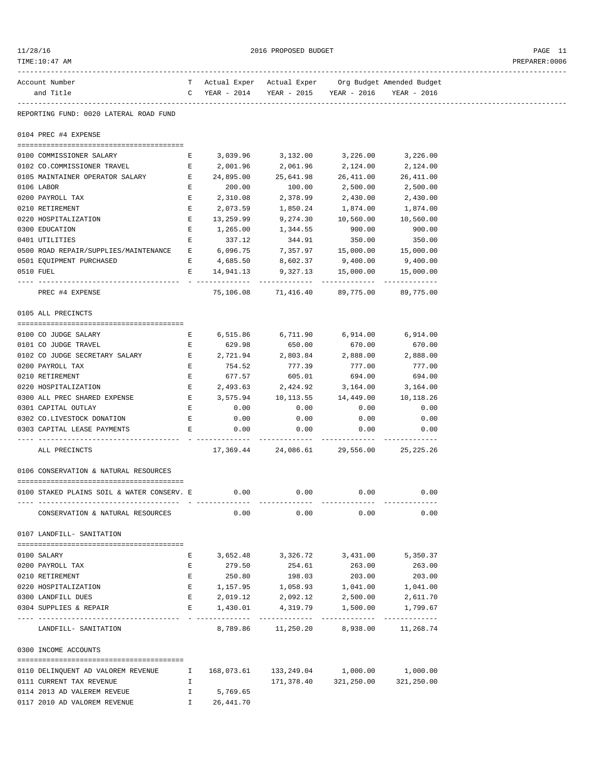| 11/28/16 |  |
|----------|--|
|          |  |

 $2016 \text{ PROPOSED BUDGET} \label{eq:11}$ 

| TIME:10:47 AM                                              |                               |                               |                                                   |                                  |                                                       | PREPARER:0006 |
|------------------------------------------------------------|-------------------------------|-------------------------------|---------------------------------------------------|----------------------------------|-------------------------------------------------------|---------------|
| Account Number                                             |                               |                               |                                                   |                                  | T Actual Exper Actual Exper Org Budget Amended Budget |               |
| and Title                                                  |                               |                               | C YEAR - 2014 YEAR - 2015 YEAR - 2016 YEAR - 2016 |                                  |                                                       |               |
| REPORTING FUND: 0020 LATERAL ROAD FUND                     |                               |                               |                                                   |                                  |                                                       |               |
| 0104 PREC #4 EXPENSE                                       |                               |                               |                                                   |                                  |                                                       |               |
| 0100 COMMISSIONER SALARY                                   | Е                             |                               | 3,039.96 3,132.00 3,226.00                        |                                  | 3,226.00                                              |               |
| 0102 CO.COMMISSIONER TRAVEL                                | $\mathbf{E}$ and $\mathbf{E}$ | 2,001.96                      | 2,061.96                                          | 2,124.00                         | 2,124.00                                              |               |
| 0105 MAINTAINER OPERATOR SALARY                            | E                             | 24,895.00                     | 25,641.98                                         | 26,411.00                        | 26,411.00                                             |               |
| 0106 LABOR                                                 | Е                             | 200.00                        | 100.00                                            | 2,500.00                         | 2,500.00                                              |               |
| 0200 PAYROLL TAX                                           | E                             | 2,310.08                      | 2,378.99                                          | 2,430.00                         | 2,430.00                                              |               |
| 0210 RETIREMENT                                            | Е                             | 2,073.59                      | 1,850.24                                          | 1,874.00                         | 1,874.00                                              |               |
| 0220 HOSPITALIZATION                                       | E                             | 13,259.99                     | 9,274.30                                          | 10,560.00                        | 10,560.00                                             |               |
| 0300 EDUCATION                                             | Е                             | 1,265.00                      | 1,344.55                                          | 900.00                           | 900.00                                                |               |
| 0401 UTILITIES                                             | Е                             | 337.12                        | 344.91                                            | 350.00                           | 350.00                                                |               |
| 0500 ROAD REPAIR/SUPPLIES/MAINTENANCE E 6,096.75           |                               |                               |                                                   | 7,357.97   15,000.00   15,000.00 |                                                       |               |
| 0501 EQUIPMENT PURCHASED                                   |                               |                               | E 4,685.50 8,602.37 9,400.00 9,400.00             |                                  |                                                       |               |
| 0510 FUEL                                                  |                               |                               |                                                   |                                  |                                                       |               |
|                                                            |                               |                               | E 14,941.13 9,327.13 15,000.00 15,000.00          |                                  |                                                       |               |
| PREC #4 EXPENSE                                            |                               |                               | 75,106.08 71,416.40 89,775.00 89,775.00           |                                  |                                                       |               |
| 0105 ALL PRECINCTS                                         |                               |                               |                                                   |                                  |                                                       |               |
| 0100 CO JUDGE SALARY                                       |                               | $\mathbf{E}$ and $\mathbf{E}$ | 6,515.86 6,711.90 6,914.00 6,914.00               |                                  |                                                       |               |
| 0101 CO JUDGE TRAVEL                                       | Е                             | 629.98                        | 650.00                                            | 670.00                           | 670.00                                                |               |
| 0102 CO JUDGE SECRETARY SALARY                             | $\mathbf{E}$                  | 2,721.94                      | 2,803.84                                          | 2,888.00                         | 2,888.00                                              |               |
|                                                            | E                             | 754.52                        |                                                   |                                  |                                                       |               |
| 0200 PAYROLL TAX                                           |                               |                               | 777.39                                            | 777.00                           | 777.00                                                |               |
| 0210 RETIREMENT                                            | Е                             |                               | 677.57 605.01 694.00                              |                                  | 694.00                                                |               |
| 0220 HOSPITALIZATION                                       | Е                             |                               | 2,493.63 2,424.92 3,164.00                        |                                  | 3,164.00                                              |               |
| 0300 ALL PREC SHARED EXPENSE                               |                               |                               | E $3,575.94$ 10,113.55                            | 14,449.00                        | 10,118.26                                             |               |
| 0301 CAPITAL OUTLAY                                        | E                             | 0.00                          | 0.00                                              | 0.00                             | 0.00                                                  |               |
| 0302 CO.LIVESTOCK DONATION                                 | E                             | 0.00                          | 0.00                                              | 0.00                             | 0.00                                                  |               |
| 0303 CAPITAL LEASE PAYMENTS<br>--- ----------------------- | E                             | 0.00                          | 0.00                                              | 0.00                             | 0.00                                                  |               |
| ALL PRECINCTS                                              |                               |                               | 17,369.44 24,086.61 29,556.00 25,225.26           |                                  |                                                       |               |
| 0106 CONSERVATION & NATURAL RESOURCES                      |                               |                               |                                                   |                                  |                                                       |               |
| 0100 STAKED PLAINS SOIL & WATER CONSERV. E                 |                               | 0.00                          | 0.00                                              | 0.00                             | 0.00                                                  |               |
| CONSERVATION & NATURAL RESOURCES                           |                               | 0.00                          | 0.00                                              | 0.00                             | 0.00                                                  |               |
| 0107 LANDFILL- SANITATION                                  |                               |                               |                                                   |                                  |                                                       |               |
|                                                            |                               |                               |                                                   |                                  |                                                       |               |
| 0100 SALARY                                                | Е                             |                               | 3,652.48 3,326.72 3,431.00                        |                                  | 5,350.37                                              |               |
| 0200 PAYROLL TAX                                           | Е                             | 279.50                        | 254.61                                            | 263.00                           | 263.00                                                |               |
| 0210 RETIREMENT                                            | $\mathbf{E}$                  | 250.80                        | 198.03                                            | 203.00                           | 203.00                                                |               |
| 0220 HOSPITALIZATION                                       | $\mathbf{E}$                  | 1,157.95                      | 1,058.93                                          | 1,041.00                         | 1,041.00                                              |               |
| 0300 LANDFILL DUES                                         | E                             | 2,019.12                      | 2,092.12                                          | 2,500.00                         | 2,611.70                                              |               |
| 0304 SUPPLIES & REPAIR                                     | Е                             | 1,430.01                      | 4,319.79<br>-----------------------------         | 1,500.00                         | 1,799.67<br>-------------                             |               |
| LANDFILL- SANITATION                                       |                               |                               | 8,789.86 11,250.20                                | 8,938.00                         | 11,268.74                                             |               |
| 0300 INCOME ACCOUNTS                                       |                               |                               |                                                   |                                  |                                                       |               |
| 0110 DELINQUENT AD VALOREM REVENUE                         | Ι.                            | 168,073.61                    |                                                   | 133, 249.04 1,000.00             | 1,000.00                                              |               |
|                                                            |                               |                               |                                                   |                                  |                                                       |               |
| 0111 CURRENT TAX REVENUE                                   | Ι.                            |                               | 171,378.40                                        | 321,250.00                       | 321,250.00                                            |               |

0114 2013 AD VALEREM REVEUE 1 5,769.65 0117 2010 AD VALOREM REVENUE 1 26,441.70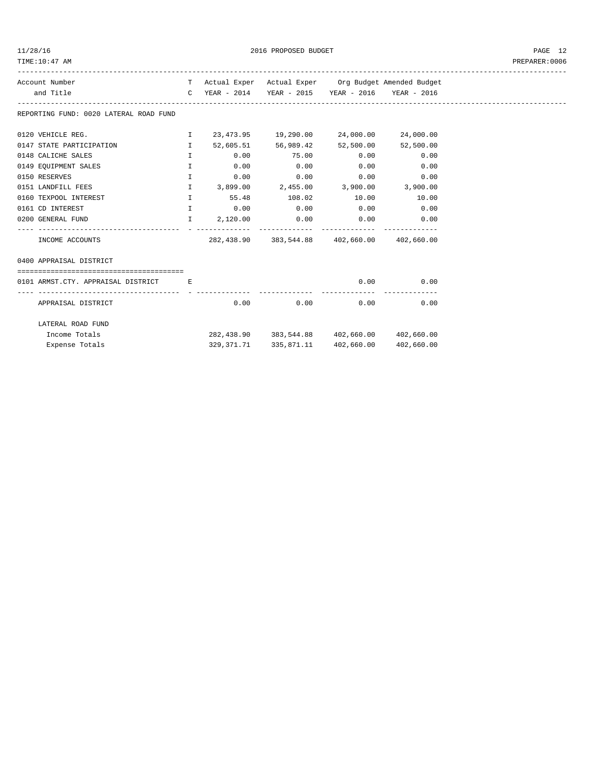2016 PROPOSED BUDGET AND STREET ASSESSED FOR STREET ASSESSED FOR STREET ASSESSED FOR STREET ASSESSED FOR STREET

| Account Number<br>and Title                                                  |              |      | T Actual Exper Actual Exper Org Budget Amended Budget<br>C YEAR - 2014 YEAR - 2015 YEAR - 2016 YEAR - 2016                                 |             |            |
|------------------------------------------------------------------------------|--------------|------|--------------------------------------------------------------------------------------------------------------------------------------------|-------------|------------|
| REPORTING FUND: 0020 LATERAL ROAD FUND                                       |              |      |                                                                                                                                            |             |            |
| 0120 VEHICLE REG.                                                            |              |      | $1 \qquad 23,473.95 \qquad 19,290.00 \qquad 24,000.00 \qquad 24,000.00$                                                                    |             |            |
| 0147 STATE PARTICIPATION<br><b>I</b> and the second property of $\mathbf{I}$ |              |      | 52,605.51 56,989.42 52,500.00 52,500.00                                                                                                    |             |            |
| 0148 CALICHE SALES                                                           | $\mathbf{I}$ |      | $0.00$ $75.00$ $0.00$ $0.00$ $0.00$                                                                                                        |             |            |
| 0149 EQUIPMENT SALES                                                         | $\mathbf{I}$ | 0.00 | 0.00                                                                                                                                       | $0.00$ 0.00 |            |
| 0150 RESERVES                                                                | $\mathbf{I}$ | 0.00 | $0.00$ $0.00$ $0.00$ $0.00$                                                                                                                |             |            |
| 0151 LANDFILL FEES                                                           | $\mathbf{I}$ |      | $3,899.00$ $2,455.00$ $3,900.00$ $3,900.00$                                                                                                |             |            |
| 0160 TEXPOOL INTEREST                                                        | $\mathbf{I}$ |      | 55.48 108.02 10.00 10.00                                                                                                                   |             |            |
| 0161 CD INTEREST                                                             |              |      | $\qquad \qquad \mathbf{I} \qquad \qquad \mathbf{0.00} \qquad \qquad \mathbf{0.00} \qquad \qquad \mathbf{0.00} \qquad \qquad \mathbf{0.00}$ |             |            |
| 0200 GENERAL FUND $I$ 2,120.00 0.00 0.00 0.00 0.00                           |              |      |                                                                                                                                            |             |            |
| INCOME ACCOUNTS                                                              |              |      | 282,438.90 383,544.88 402,660.00 402,660.00                                                                                                |             |            |
| 0400 APPRAISAL DISTRICT                                                      |              |      |                                                                                                                                            |             |            |
|                                                                              |              |      |                                                                                                                                            |             |            |
| 0101 ARMST.CTY. APPRAISAL DISTRICT E                                         |              |      |                                                                                                                                            | 0.00        | 0.00       |
| APPRAISAL DISTRICT                                                           |              |      | 0.00<br>0.00                                                                                                                               | 0.00        | 0.00       |
| LATERAL ROAD FUND                                                            |              |      |                                                                                                                                            |             |            |
| Income Totals                                                                |              |      | 282,438.90 383,544.88 402,660.00 402,660.00                                                                                                |             |            |
| Expense Totals                                                               |              |      | 329, 371. 71 335, 871. 11                                                                                                                  | 402,660.00  | 402,660.00 |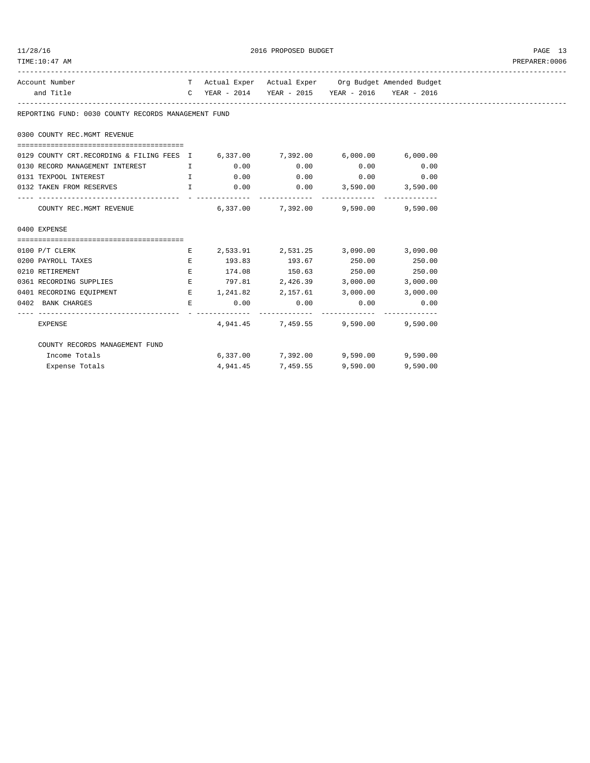| TIME:10:47 AM                                                                                                                                                                                                                  |  |                                                       |          | PREPARER:0006 |
|--------------------------------------------------------------------------------------------------------------------------------------------------------------------------------------------------------------------------------|--|-------------------------------------------------------|----------|---------------|
| Account Number                                                                                                                                                                                                                 |  | T Actual Exper Actual Exper Org Budget Amended Budget |          |               |
| and Title                                                                                                                                                                                                                      |  | C YEAR - 2014 YEAR - 2015 YEAR - 2016 YEAR - 2016     |          |               |
| REPORTING FUND: 0030 COUNTY RECORDS MANAGEMENT FUND                                                                                                                                                                            |  |                                                       |          |               |
| 0300 COUNTY REC.MGMT REVENUE                                                                                                                                                                                                   |  |                                                       |          |               |
|                                                                                                                                                                                                                                |  |                                                       |          |               |
| 0129 COUNTY CRT.RECORDING & FILING FEES I 6,337.00 7,392.00 6,000.00 6,000.00                                                                                                                                                  |  |                                                       |          |               |
| 0130 RECORD MANAGEMENT INTEREST THE RECORD ON THE RECORD MANAGEMENT INTEREST THE RECORD OF SOLUTION OF SOLUTION                                                                                                                |  |                                                       |          |               |
| 0131 TEXPOOL INTEREST THE RESERVE THE RESERVE ORDER TO A LODGE THE RESERVE ORDER TO A LODGE ORDER TO A LODGE T                                                                                                                 |  |                                                       |          |               |
| 0132 TAKEN FROM RESERVES THE RESOLUTION OF LOCAL CONTROLLER SUBSERVED THE RESOLUTION OF LOCAL CONTROLLER SUBSERVED THE RESOLUTION OF LOCAL CONTROLLER SUBSERVED THE RESOLUTION OF LOCAL CONTROLLER SUBSERVED THE RESOLUTION OF |  |                                                       |          |               |
| COUNTY REC.MGMT REVENUE 6,337.00 7,392.00 9,590.00 9,590.00                                                                                                                                                                    |  |                                                       |          |               |
| 0400 EXPENSE                                                                                                                                                                                                                   |  |                                                       |          |               |
|                                                                                                                                                                                                                                |  |                                                       |          |               |
| 0100 P/T CLERK                                                                                                                                                                                                                 |  | E 2,533.91 2,531.25 3,090.00 3,090.00                 |          |               |
| 0200 PAYROLL TAXES                                                                                                                                                                                                             |  | E 193.83 193.67 250.00 250.00                         |          |               |
| 0210 RETIREMENT                                                                                                                                                                                                                |  | E 174.08 150.63 250.00 250.00                         |          |               |
| 0361 RECORDING SUPPLIES E 797.81 2,426.39 3,000.00 3,000.00                                                                                                                                                                    |  |                                                       |          |               |
| 0401 RECORDING EQUIPMENT                                                                                                                                                                                                       |  | E $1,241.82$ $2,157.61$ $3,000.00$ $3,000.00$         |          |               |
| 0402 BANK CHARGES $E$ 0.00 0.00 0.00 0.00 0.00                                                                                                                                                                                 |  |                                                       |          |               |
| EXPENSE                                                                                                                                                                                                                        |  | 4,941.45 7,459.55 9,590.00 9,590.00                   |          |               |
| COUNTY RECORDS MANAGEMENT FUND                                                                                                                                                                                                 |  |                                                       |          |               |
| Income Totals                                                                                                                                                                                                                  |  | 6,337.00 7,392.00 9,590.00 9,590.00                   |          |               |
| Expense Totals                                                                                                                                                                                                                 |  | 4,941.45 7,459.55 9,590.00                            | 9,590.00 |               |

11/28/16 2016 PROPOSED BUDGET PAGE 13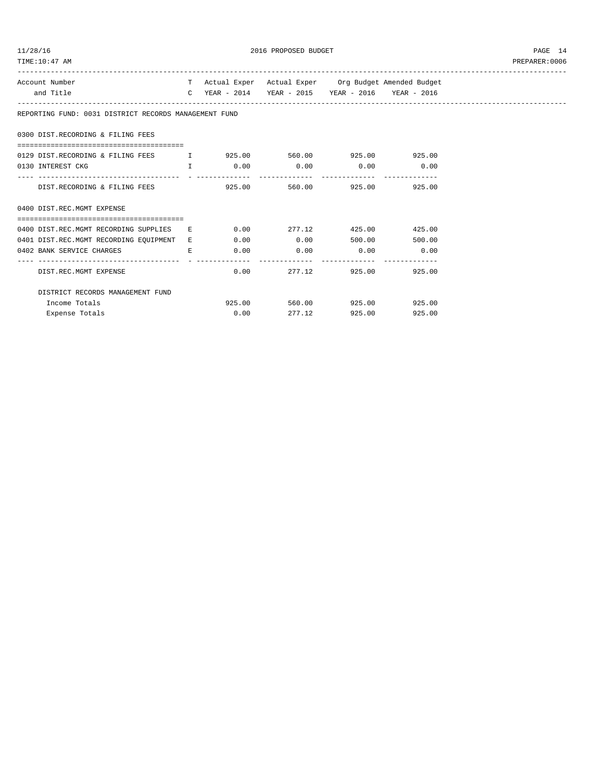| TIME: 10:47 AM                                                               |  |                                                                                                            |        | PREPARER: 0006 |
|------------------------------------------------------------------------------|--|------------------------------------------------------------------------------------------------------------|--------|----------------|
| Account Number<br>and Title                                                  |  | T Actual Exper Actual Exper Org Budget Amended Budget<br>C YEAR - 2014 YEAR - 2015 YEAR - 2016 YEAR - 2016 |        |                |
|                                                                              |  |                                                                                                            |        |                |
| REPORTING FUND: 0031 DISTRICT RECORDS MANAGEMENT FUND                        |  |                                                                                                            |        |                |
| 0300 DIST.RECORDING & FILING FEES                                            |  |                                                                                                            |        |                |
| 0129 DIST.RECORDING & FILING FEES TWE 925.00 560.00 925.00 925.00 925.00     |  |                                                                                                            |        |                |
| 0130 INTEREST CKG $I$ 0.00 0.00 0.00 0.00 0.00                               |  |                                                                                                            |        |                |
| DIST.RECORDING & FILING FEES                                                 |  | 925.00 560.00 925.00                                                                                       | 925.00 |                |
| 0400 DIST.REC.MGMT EXPENSE                                                   |  |                                                                                                            |        |                |
| 0400 DIST.REC.MGMT RECORDING SUPPLIES E 0.00 277.12 425.00 425.00            |  |                                                                                                            |        |                |
| 0401 DIST.REC.MGMT RECORDING EQUIPMENT E 0.00 0.00 0.00 500.00 500.00 500.00 |  |                                                                                                            |        |                |
| 0402 BANK SERVICE CHARGES E                                                  |  | $0.00$ $0.00$ $0.00$ $0.00$ $0.00$                                                                         |        |                |
| DIST.REC.MGMT EXPENSE                                                        |  | $0.00$ 277.12 925.00 925.00                                                                                |        |                |
| DISTRICT RECORDS MANAGEMENT FUND                                             |  |                                                                                                            |        |                |
| Income Totals                                                                |  | 925.00 560.00 925.00 925.00                                                                                |        |                |
| Expense Totals                                                               |  | $0.00$ 277.12 925.00                                                                                       | 925.00 |                |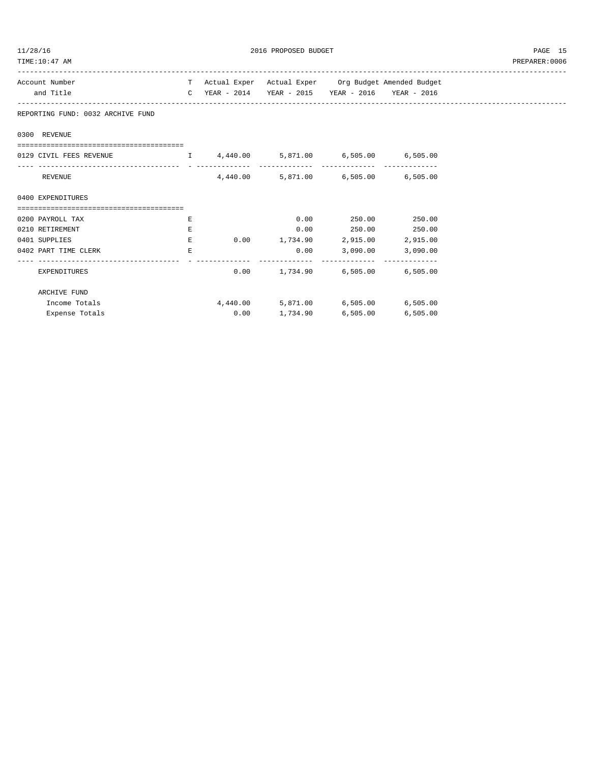| /28/16 |  |
|--------|--|
|        |  |

2016 PROPOSED BUDGET AND STREET ASSESSED FOR A STREET ASSESSED FOR A STREET ASSESSED FOR A STREET ASSESSED FOR A STREET ASSESSED FOR A STREET ASSESSED FOR A STREET AND THE STREET ASSESSED FOR A STREET AND THE STREET ASSESS

| Account Number                                                |    | T Actual Exper Actual Exper Org Budget Amended Budget |                          |  |
|---------------------------------------------------------------|----|-------------------------------------------------------|--------------------------|--|
| and Title                                                     |    | C YEAR - 2014 YEAR - 2015 YEAR - 2016 YEAR - 2016     |                          |  |
| REPORTING FUND: 0032 ARCHIVE FUND                             |    |                                                       |                          |  |
| 0300 REVENUE                                                  |    |                                                       |                          |  |
| 0129 CIVIL FEES REVENUE T 4,440.00 5,871.00 6,505.00 6,505.00 |    |                                                       |                          |  |
| REVENUE                                                       |    | 4,440.00 5,871.00 6,505.00 6,505.00                   |                          |  |
| 0400 EXPENDITURES                                             |    |                                                       |                          |  |
| =====================================                         |    |                                                       |                          |  |
| 0200 PAYROLL TAX                                              | E. |                                                       | $0.00$ 250.00 250.00     |  |
| 0210 RETIREMENT                                               | Е  |                                                       | $0.00$ 250.00 250.00     |  |
| 0401 SUPPLIES                                                 | Е  | $0.00$ 1,734.90 2,915.00 2,915.00                     |                          |  |
| 0402 PART TIME CLERK                                          | E. |                                                       | $0.00$ 3,090.00 3,090.00 |  |
| EXPENDITURES                                                  |    | $0.00$ 1,734.90 6,505.00 6,505.00                     |                          |  |
| ARCHIVE FUND                                                  |    |                                                       |                          |  |
| Income Totals                                                 |    | 4,440.00 5,871.00 6,505.00 6,505.00                   |                          |  |
| Expense Totals                                                |    | $0.00$ 1,734.90 6,505.00 6,505.00                     |                          |  |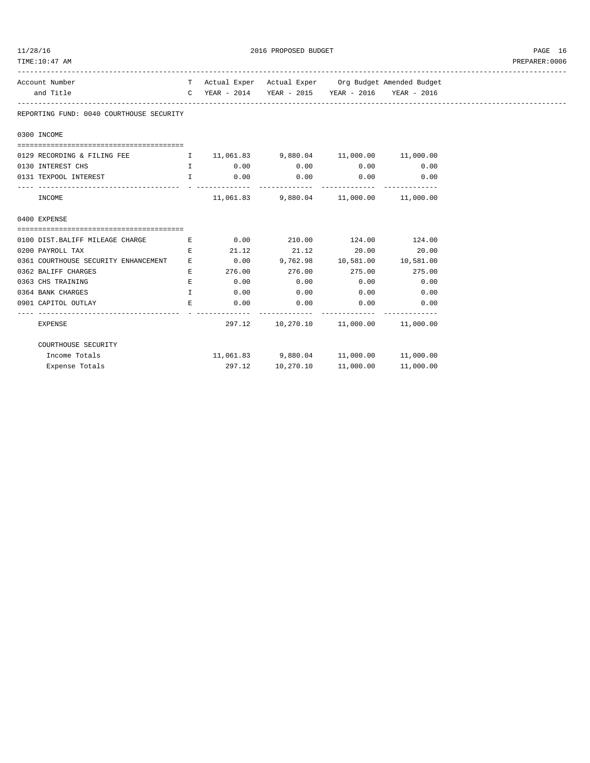| 11/28/16                                                               |              |             | 2016 PROPOSED BUDGET                                                                                                                       |      |                                                       | PAGE 16        |
|------------------------------------------------------------------------|--------------|-------------|--------------------------------------------------------------------------------------------------------------------------------------------|------|-------------------------------------------------------|----------------|
| TIME:10:47 AM                                                          |              |             |                                                                                                                                            |      |                                                       | PREPARER: 0006 |
| Account Number                                                         |              |             |                                                                                                                                            |      | T Actual Exper Actual Exper Org Budget Amended Budget |                |
| and Title                                                              |              |             | C YEAR - 2014 YEAR - 2015 YEAR - 2016 YEAR - 2016                                                                                          |      |                                                       |                |
| REPORTING FUND: 0040 COURTHOUSE SECURITY                               |              |             |                                                                                                                                            |      |                                                       |                |
| 0300 INCOME                                                            |              |             |                                                                                                                                            |      |                                                       |                |
|                                                                        |              |             |                                                                                                                                            |      |                                                       |                |
| 0129 RECORDING & FILING FEE $11,061.83$ 9,880.04 11,000.00 11,000.00   |              |             |                                                                                                                                            |      |                                                       |                |
| 0130 INTEREST CHS                                                      |              |             | $\qquad \qquad 1 \qquad \qquad 0.00 \qquad \qquad 0.00 \qquad \qquad 0.00 \qquad \qquad 0.00$                                              |      |                                                       |                |
| 0131 TEXPOOL INTEREST                                                  |              |             | $\qquad \qquad \mathbf{I} \qquad \qquad \mathbf{0.00} \qquad \qquad \mathbf{0.00} \qquad \qquad \mathbf{0.00} \qquad \qquad \mathbf{0.00}$ |      |                                                       |                |
| INCOME                                                                 |              |             | 11,061.83 9,880.04 11,000.00 11,000.00                                                                                                     |      |                                                       |                |
| 0400 EXPENSE                                                           |              |             |                                                                                                                                            |      |                                                       |                |
| 0100 DIST.BALIFF MILEAGE CHARGE<br><b>Experience of the Experience</b> |              |             | $0.00$ 210.00 124.00 124.00                                                                                                                |      |                                                       |                |
| 0200 PAYROLL TAX                                                       | E.           |             | $21.12$ $21.12$ $20.00$ $20.00$                                                                                                            |      |                                                       |                |
| 0361 COURTHOUSE SECURITY ENHANCEMENT                                   | Е            |             | $0.00$ 9,762.98 10,581.00 10,581.00                                                                                                        |      |                                                       |                |
| 0362 BALIFF CHARGES                                                    | E.           |             | $276.00$ $276.00$ $275.00$ $275.00$                                                                                                        |      |                                                       |                |
| 0363 CHS TRAINING                                                      | $E_{\rm c}$  |             | $0.00$ 0.00                                                                                                                                | 0.00 | 0.00                                                  |                |
| 0364 BANK CHARGES                                                      | $\mathbf{I}$ | $0.00$ 0.00 |                                                                                                                                            | 0.00 | 0.00                                                  |                |
| 0901 CAPITOL OUTLAY                                                    | E.           | 0.00        | 0.00                                                                                                                                       | 0.00 | 0.00                                                  |                |
| <b>EXPENSE</b>                                                         |              |             | 297.12  10,270.10  11,000.00  11,000.00                                                                                                    |      |                                                       |                |
| COURTHOUSE SECURITY                                                    |              |             |                                                                                                                                            |      |                                                       |                |
| Income Totals                                                          |              |             | 11,061.83 9,880.04 11,000.00 11,000.00                                                                                                     |      |                                                       |                |
| Expense Totals                                                         |              |             | 297.12 10,270.10 11,000.00                                                                                                                 |      | 11,000.00                                             |                |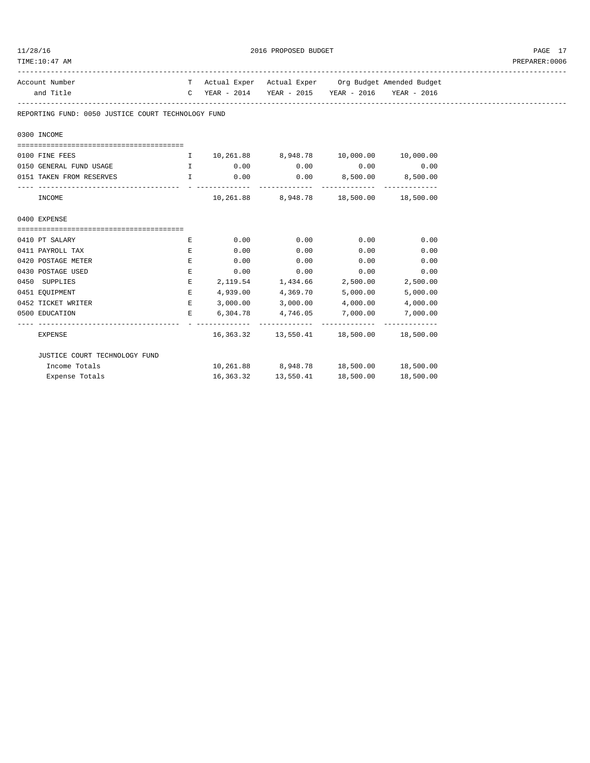| TIME:10:47 AM                                                 |    |      |                                                   |      |                                                       | PREPARER: 0006 |
|---------------------------------------------------------------|----|------|---------------------------------------------------|------|-------------------------------------------------------|----------------|
| Account Number                                                |    |      |                                                   |      | T Actual Exper Actual Exper Org Budget Amended Budget |                |
| and Title                                                     |    |      | C YEAR - 2014 YEAR - 2015 YEAR - 2016 YEAR - 2016 |      |                                                       |                |
| REPORTING FUND: 0050 JUSTICE COURT TECHNOLOGY FUND            |    |      |                                                   |      |                                                       |                |
| 0300 INCOME                                                   |    |      |                                                   |      |                                                       |                |
| 0100 FINE FEES                                                |    |      | I 10,261.88 8,948.78 10,000.00 10,000.00          |      |                                                       |                |
| 0150 GENERAL FUND USAGE $I$ 0.00 0.00 0.00 0.00               |    |      |                                                   |      | 0.00                                                  |                |
| 0151 TAKEN FROM RESERVES T 1 0.00 0.00 0.00 0,500.00 0,500.00 |    |      |                                                   |      |                                                       |                |
| INCOME                                                        |    |      | 10,261.88 8,948.78 18,500.00 18,500.00            |      |                                                       |                |
| 0400 EXPENSE                                                  |    |      |                                                   |      |                                                       |                |
| 0410 PT SALARY                                                | E  | 0.00 | 0.00                                              | 0.00 | 0.00                                                  |                |
| 0411 PAYROLL TAX                                              | E  | 0.00 | 0.00                                              | 0.00 | 0.00                                                  |                |
| 0420 POSTAGE METER<br><b>EXAMPLE 2005</b>                     |    |      | $0.00$ $0.00$ $0.00$ $0.00$ $0.00$                |      |                                                       |                |
| 0430 POSTAGE USED                                             | E  |      | $0.00$ $0.00$ $0.00$ $0.00$ $0.00$                |      |                                                       |                |
| 0450 SUPPLIES                                                 | E  |      | 2,119.54 1,434.66 2,500.00 2,500.00               |      |                                                       |                |
| 0451 EQUIPMENT                                                | E. |      | 4,939.00 4,369.70                                 |      | 5,000.00 5,000.00                                     |                |
| 0452 TICKET WRITER                                            |    |      | $E$ 3,000.00 3,000.00 4,000.00 4,000.00           |      |                                                       |                |
| 0500 EDUCATION                                                |    |      | E 6,304.78 4,746.05                               |      | 7,000.00 7,000.00                                     |                |
| <b>EXPENSE</b>                                                |    |      | 16,363.32  13,550.41  18,500.00  18,500.00        |      |                                                       |                |
| JUSTICE COURT TECHNOLOGY FUND                                 |    |      |                                                   |      |                                                       |                |
| Income Totals                                                 |    |      | 10,261.88 8,948.78 18,500.00 18,500.00            |      |                                                       |                |
| Expense Totals                                                |    |      | 16,363.32   13,550.41   18,500.00                 |      | 18,500.00                                             |                |

 $11/28/16$   $2016$  PROPOSED BUDGET  $PAGE$   $17$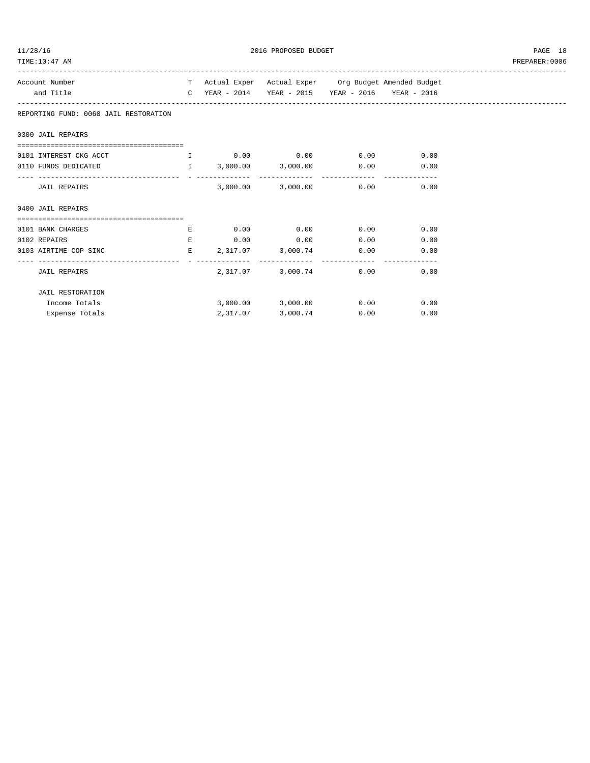| 128/7 |  |
|-------|--|
|       |  |

2016 PROPOSED BUDGET AND STRUCK STATES AND RELATIONS AND PAGE 18

| Account Number                                                    |   |          | T Actual Exper Actual Exper Org Budget Amended Budget |              |  |
|-------------------------------------------------------------------|---|----------|-------------------------------------------------------|--------------|--|
| and Title                                                         |   |          | C YEAR - 2014 YEAR - 2015 YEAR - 2016 YEAR - 2016     |              |  |
| REPORTING FUND: 0060 JAIL RESTORATION                             |   |          |                                                       |              |  |
| 0300 JAIL REPAIRS                                                 |   |          |                                                       |              |  |
|                                                                   |   |          |                                                       |              |  |
| 0101 INTEREST CKG ACCT $\qquad \qquad$ I 0.00 0.00 0.00 0.00 0.00 |   |          |                                                       |              |  |
| 0110 FUNDS DEDICATED T 3,000.00 3,000.00 0.00 0.00                |   |          |                                                       |              |  |
| JAIL REPAIRS                                                      |   |          | $3.000.00$ $3.000.00$ $0.00$ $0.00$                   |              |  |
| 0400 JAIL REPAIRS                                                 |   |          |                                                       |              |  |
|                                                                   |   |          |                                                       |              |  |
| 0101 BANK CHARGES                                                 | E |          | $0.00$ $0.00$ $0.00$ $0.00$ $0.00$                    |              |  |
| 0102 REPAIRS                                                      |   |          | E 0.00 0.00 0.00 0.00 0.00                            |              |  |
| 0103 AIRTIME COP SINC                                             |   |          | $E$ 2,317.07 3,000.74 0.00 0.00                       |              |  |
| <b>JAIL REPAIRS</b>                                               |   |          | 2,317.07 3,000.74 0.00 0.00                           |              |  |
| <b>JAIL RESTORATION</b>                                           |   |          |                                                       |              |  |
| Income Totals                                                     |   |          | $3,000.00$ $3,000.00$ $0.00$ $0.00$ $0.00$            |              |  |
| Expense Totals                                                    |   | 2,317.07 | 3,000.74                                              | 0.00<br>0.00 |  |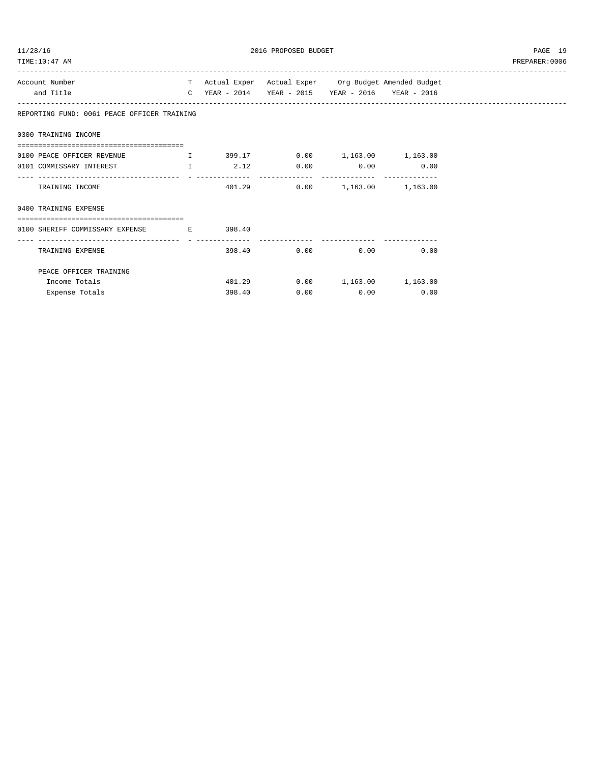| 11/28/16 |  |
|----------|--|
|          |  |

2016 PROPOSED BUDGET PAGE 19

| Account Number                                             |        |                                                   | T Actual Exper Actual Exper Org Budget Amended Budget |
|------------------------------------------------------------|--------|---------------------------------------------------|-------------------------------------------------------|
| and Title                                                  |        | C YEAR - 2014 YEAR - 2015 YEAR - 2016 YEAR - 2016 |                                                       |
| REPORTING FUND: 0061 PEACE OFFICER TRAINING                |        |                                                   |                                                       |
| 0300 TRAINING INCOME                                       |        |                                                   |                                                       |
| 0100 PEACE OFFICER REVENUE T 399.17 0.00 1,163.00 1,163.00 |        |                                                   |                                                       |
| 0101 COMMISSARY INTEREST THE T                             | 2.12   | $0.00$ $0.00$ $0.00$                              |                                                       |
| TRAINING INCOME                                            |        | 401.29   0.00   1,163.00   1,163.00               |                                                       |
| 0400 TRAINING EXPENSE                                      |        |                                                   |                                                       |
|                                                            |        |                                                   |                                                       |
| 0100 SHERIFF COMMISSARY EXPENSE B E 398.40                 |        |                                                   |                                                       |
| TRAINING EXPENSE                                           | 398.40 | $0.00$ $0.00$ $0.00$                              |                                                       |
| PEACE OFFICER TRAINING                                     |        |                                                   |                                                       |
| Income Totals                                              | 401.29 | $0.00$ 1,163.00 1,163.00                          |                                                       |
| Expense Totals                                             | 398.40 | $0.00$ $0.00$ $0.00$                              |                                                       |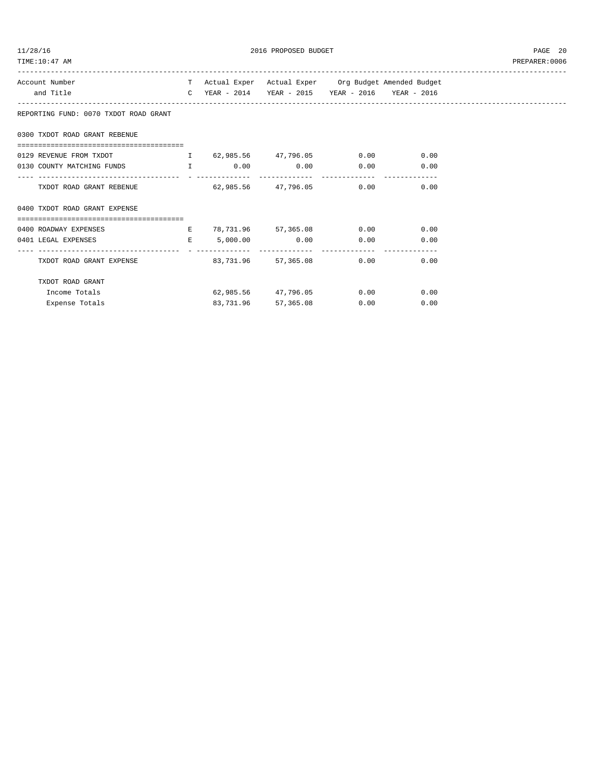| 11/28/16 |  |
|----------|--|
|          |  |

2016 PROPOSED BUDGET AND STRUCK AND THE PAGE 20

| TIME: 10:47 AM                                                                                                                                          |  |                                                       |      |                                                 | PREPARER: 0006 |
|---------------------------------------------------------------------------------------------------------------------------------------------------------|--|-------------------------------------------------------|------|-------------------------------------------------|----------------|
| Account Number                                                                                                                                          |  | T Actual Exper Actual Exper Org Budget Amended Budget |      |                                                 |                |
| and Title                                                                                                                                               |  | C YEAR - 2014 YEAR - 2015 YEAR - 2016 YEAR - 2016     |      |                                                 |                |
| REPORTING FUND: 0070 TXDOT ROAD GRANT                                                                                                                   |  |                                                       |      |                                                 |                |
| 0300 TXDOT ROAD GRANT REBENUE                                                                                                                           |  |                                                       |      |                                                 |                |
| =====================================<br>0129 REVENUE FROM TXDOT TO RESOLUTION TO A LOCAL ASSAULT A LOCAL SERVENUE FROM TXDOT TO A LOCAL SERVENUE ORDER |  |                                                       |      |                                                 |                |
| 0130 COUNTY MATCHING FUNDS 1 0.00 0.00 0.00 0.00 0.00                                                                                                   |  |                                                       |      |                                                 |                |
| TXDOT ROAD GRANT REBENUE $62,985.56$ $47,796.05$ 0.00 0.00                                                                                              |  |                                                       |      |                                                 |                |
| 0400 TXDOT ROAD GRANT EXPENSE                                                                                                                           |  |                                                       |      |                                                 |                |
|                                                                                                                                                         |  |                                                       |      |                                                 |                |
| 0400 ROADWAY EXPENSES E 78,731.96 57,365.08 0.00 0.00                                                                                                   |  |                                                       |      |                                                 |                |
| $E = 5,000.00$ 0.00 0.00 0.00<br>0401 LEGAL EXPENSES                                                                                                    |  |                                                       |      | $\begin{array}{ccc} & & 0 \\ & & 0 \end{array}$ |                |
| TXDOT ROAD GRANT EXPENSE                                                                                                                                |  | $83.731.96$ $57.365.08$ 0.00 0.00                     |      |                                                 |                |
| TXDOT ROAD GRANT                                                                                                                                        |  |                                                       |      |                                                 |                |
| Income Totals                                                                                                                                           |  | 62,985.56 47,796.05                                   |      | $0.00$ 0.00                                     |                |
| Expense Totals                                                                                                                                          |  | 83,731.96 57,365.08                                   | 0.00 | 0.00                                            |                |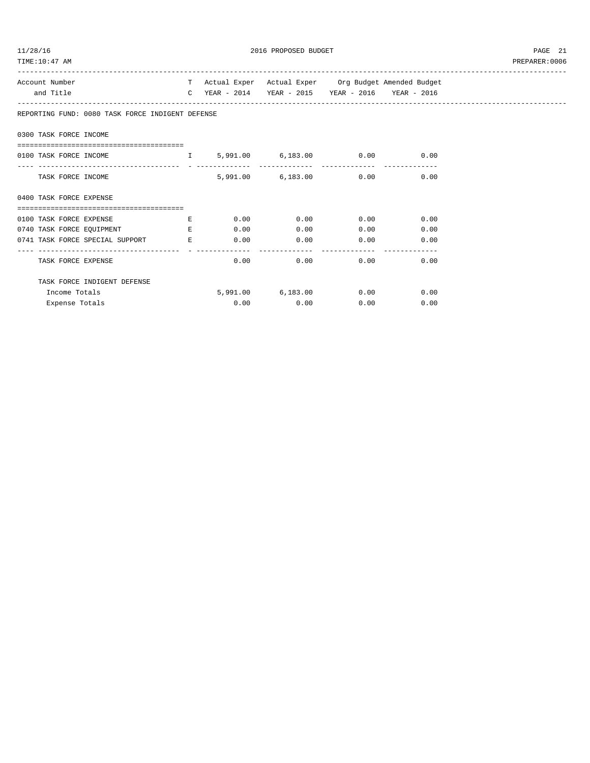| /28/1 |  |
|-------|--|
|       |  |

| 11/28/16<br>TIME:10:47 AM                                                                               |      | 2016 PROPOSED BUDGET                                  |                             |      | PAGE 21<br>PREPARER:0006 |
|---------------------------------------------------------------------------------------------------------|------|-------------------------------------------------------|-----------------------------|------|--------------------------|
| Account Number                                                                                          |      | T Actual Exper Actual Exper Org Budget Amended Budget |                             |      |                          |
| and Title                                                                                               |      | C YEAR - 2014 YEAR - 2015 YEAR - 2016 YEAR - 2016     |                             |      |                          |
| REPORTING FUND: 0080 TASK FORCE INDIGENT DEFENSE                                                        |      |                                                       |                             |      |                          |
| 0300 TASK FORCE INCOME                                                                                  |      |                                                       |                             |      |                          |
| ======================================<br>0100 TASK FORCE INCOME THE S, 991.00 6, 183.00 0.00 0.00 0.00 |      |                                                       |                             |      |                          |
| TASK FORCE INCOME                                                                                       |      | 5,991.00 6,183.00 0.00 0.00                           |                             |      |                          |
| 0400 TASK FORCE EXPENSE<br>--------------------------------------                                       |      |                                                       |                             |      |                          |
| 0100 TASK FORCE EXPENSE $\qquad \qquad$ E 0.00 0.00 0.00 0.00 0.00                                      |      |                                                       |                             |      |                          |
| 0740 TASK FORCE EQUIPMENT THE RESERVE BLOOM                                                             |      |                                                       | $0.00$ 0.00                 | 0.00 |                          |
| 0741 TASK FORCE SPECIAL SUPPORT B 6.00 0.00 0.00 0.00 0.00 0.00                                         |      |                                                       |                             |      |                          |
| TASK FORCE EXPENSE                                                                                      |      | 0.00                                                  | $0.00$ $0.00$ $0.00$ $0.00$ |      |                          |
| TASK FORCE INDIGENT DEFENSE                                                                             |      |                                                       |                             |      |                          |
| Income Totals                                                                                           |      | 5,991.00 6,183.00 0.00 0.00                           |                             |      |                          |
| Expense Totals                                                                                          | 0.00 | 0.00                                                  | 0.00                        | 0.00 |                          |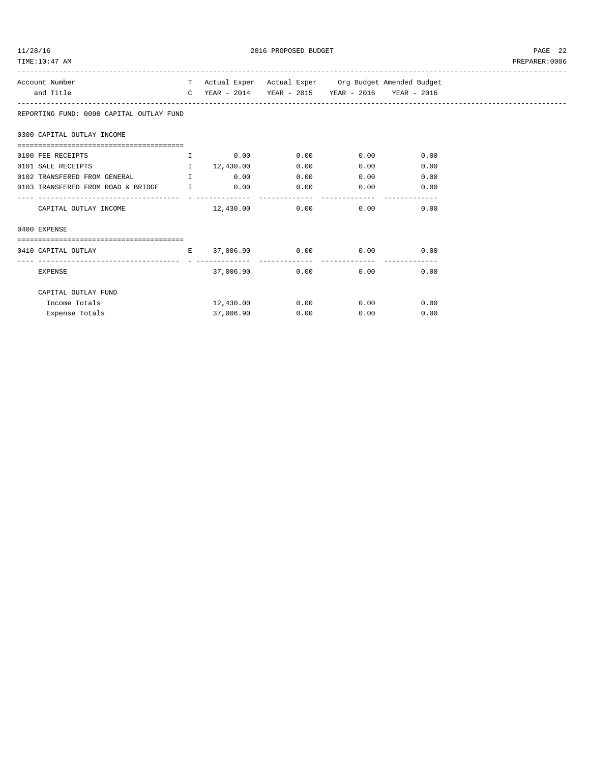| 1/28/16 |  |
|---------|--|
|         |  |

2016 PROPOSED BUDGET AND STREEP 22

| Account Number                                                |           | T Actual Exper Actual Exper Org Budget Amended Budget |              |              |
|---------------------------------------------------------------|-----------|-------------------------------------------------------|--------------|--------------|
| and Title                                                     |           | C YEAR - 2014 YEAR - 2015 YEAR - 2016 YEAR - 2016     |              |              |
| REPORTING FUND: 0090 CAPITAL OUTLAY FUND                      |           |                                                       |              |              |
| 0300 CAPITAL OUTLAY INCOME                                    |           |                                                       |              |              |
|                                                               |           |                                                       |              |              |
| 0100 FEE RECEIPTS 6.00 LOCUIT 1 2000 0.00 0.00 0.00 0.00 0.00 |           |                                                       |              |              |
| 0101 SALE RECEIPTS 12,430.00                                  |           | 0.00                                                  |              | 0.00<br>0.00 |
| 0102 TRANSFERED FROM GENERAL I 1 0.00                         |           | 0.00                                                  |              | 0.00<br>0.00 |
| 0103 TRANSFERED FROM ROAD & BRIDGE I                          | 0.00      | 0.00                                                  | 0.00         | 0.00         |
|                                                               |           |                                                       |              |              |
|                                                               |           |                                                       |              |              |
| 0400 EXPENSE                                                  |           |                                                       |              |              |
| ,,,,,,,,,,,,,,,,,,,,,,,,,,,,,,,,,,,,,,                        |           |                                                       |              |              |
| $E = 37,006.90$ 0.00 0.00<br>0410 CAPITAL OUTLAY              |           |                                                       |              | 0.00         |
| EXPENSE                                                       | 37,006.90 |                                                       | 0.00<br>0.00 | 0.00         |
| CAPITAL OUTLAY FUND                                           |           |                                                       |              |              |
| Income Totals                                                 |           | $12,430.00$ $0.00$ $0.00$ $0.00$ $0.00$               |              |              |
| Expense Totals                                                | 37,006.90 | 0.00                                                  | 0.00         | 0.00         |